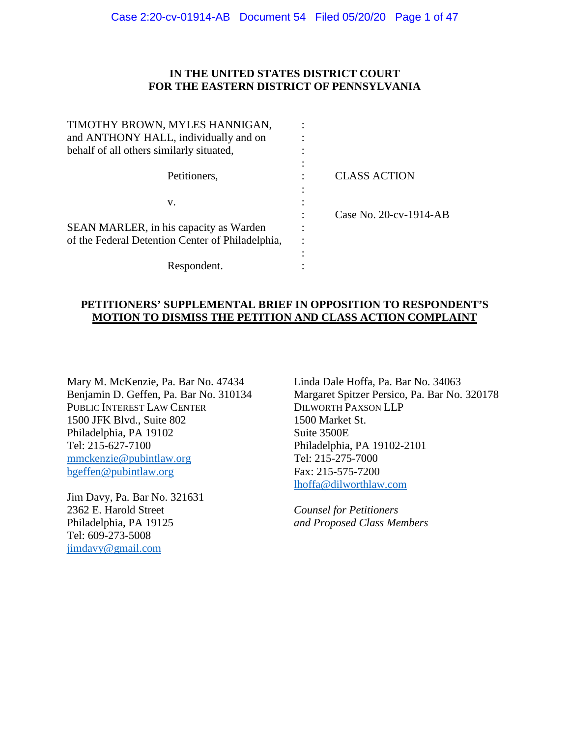## **IN THE UNITED STATES DISTRICT COURT FOR THE EASTERN DISTRICT OF PENNSYLVANIA**

| <b>CLASS ACTION</b>    |
|------------------------|
|                        |
|                        |
| Case No. 20-cv-1914-AB |
|                        |
|                        |
|                        |
|                        |
|                        |

## **PETITIONERS' SUPPLEMENTAL BRIEF IN OPPOSITION TO RESPONDENT'S MOTION TO DISMISS THE PETITION AND CLASS ACTION COMPLAINT**

Mary M. McKenzie, Pa. Bar No. 47434 Benjamin D. Geffen, Pa. Bar No. 310134 PUBLIC INTEREST LAW CENTER 1500 JFK Blvd., Suite 802 Philadelphia, PA 19102 Tel: 215-627-7100 mmckenzie@pubintlaw.org bgeffen@pubintlaw.org

Jim Davy, Pa. Bar No. 321631 2362 E. Harold Street Philadelphia, PA 19125 Tel: 609-273-5008 jimdavy@gmail.com

Linda Dale Hoffa, Pa. Bar No. 34063 Margaret Spitzer Persico, Pa. Bar No. 320178 DILWORTH PAXSON LLP 1500 Market St. Suite 3500E Philadelphia, PA 19102-2101 Tel: 215-275-7000 Fax: 215-575-7200 lhoffa@dilworthlaw.com

*Counsel for Petitioners and Proposed Class Members*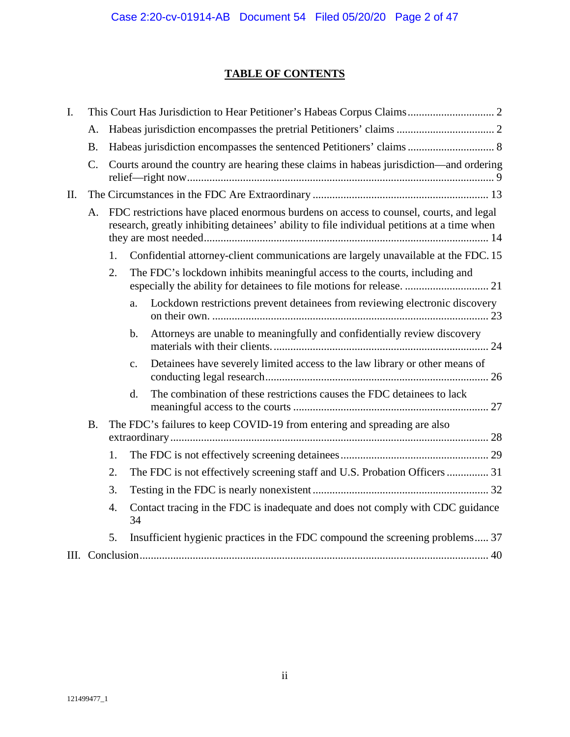## **TABLE OF CONTENTS**

| $\mathbf{I}$ .                                                                                                                                                                             |                                                                                   |    |                |                                                                                        |  |  |  |
|--------------------------------------------------------------------------------------------------------------------------------------------------------------------------------------------|-----------------------------------------------------------------------------------|----|----------------|----------------------------------------------------------------------------------------|--|--|--|
|                                                                                                                                                                                            | A.                                                                                |    |                |                                                                                        |  |  |  |
|                                                                                                                                                                                            | Habeas jurisdiction encompasses the sentenced Petitioners' claims  8<br><b>B.</b> |    |                |                                                                                        |  |  |  |
|                                                                                                                                                                                            | C.                                                                                |    |                | Courts around the country are hearing these claims in habeas jurisdiction—and ordering |  |  |  |
| II.                                                                                                                                                                                        |                                                                                   |    |                |                                                                                        |  |  |  |
| FDC restrictions have placed enormous burdens on access to counsel, courts, and legal<br>А.<br>research, greatly inhibiting detainees' ability to file individual petitions at a time when |                                                                                   |    |                |                                                                                        |  |  |  |
|                                                                                                                                                                                            |                                                                                   | 1. |                | Confidential attorney-client communications are largely unavailable at the FDC. 15     |  |  |  |
|                                                                                                                                                                                            |                                                                                   | 2. |                | The FDC's lockdown inhibits meaningful access to the courts, including and             |  |  |  |
|                                                                                                                                                                                            |                                                                                   |    | a.             | Lockdown restrictions prevent detainees from reviewing electronic discovery            |  |  |  |
|                                                                                                                                                                                            |                                                                                   |    | $\mathbf b$ .  | Attorneys are unable to meaningfully and confidentially review discovery               |  |  |  |
|                                                                                                                                                                                            |                                                                                   |    | c.             | Detainees have severely limited access to the law library or other means of            |  |  |  |
|                                                                                                                                                                                            |                                                                                   |    | $\mathbf{d}$ . | The combination of these restrictions causes the FDC detainees to lack                 |  |  |  |
|                                                                                                                                                                                            | <b>B.</b>                                                                         |    |                | The FDC's failures to keep COVID-19 from entering and spreading are also               |  |  |  |
|                                                                                                                                                                                            |                                                                                   | 1. |                |                                                                                        |  |  |  |
|                                                                                                                                                                                            |                                                                                   | 2. |                | The FDC is not effectively screening staff and U.S. Probation Officers  31             |  |  |  |
|                                                                                                                                                                                            |                                                                                   | 3. |                |                                                                                        |  |  |  |
|                                                                                                                                                                                            |                                                                                   | 4. | 34             | Contact tracing in the FDC is inadequate and does not comply with CDC guidance         |  |  |  |
|                                                                                                                                                                                            |                                                                                   | 5. |                | Insufficient hygienic practices in the FDC compound the screening problems 37          |  |  |  |
|                                                                                                                                                                                            |                                                                                   |    |                |                                                                                        |  |  |  |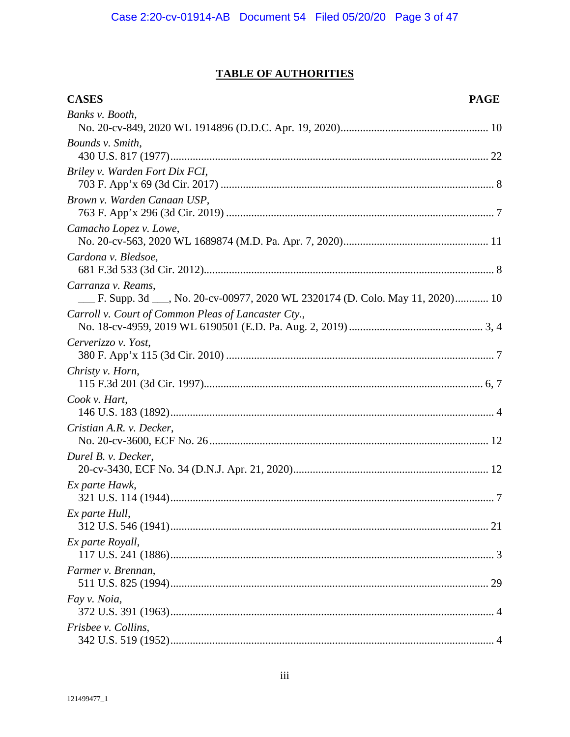## **TABLE OF AUTHORITIES**

| <b>CASES</b>                                                                                       | <b>PAGE</b> |
|----------------------------------------------------------------------------------------------------|-------------|
| Banks v. Booth,                                                                                    |             |
| Bounds v. Smith,                                                                                   |             |
| Briley v. Warden Fort Dix FCI,                                                                     |             |
| Brown v. Warden Canaan USP,                                                                        |             |
| Camacho Lopez v. Lowe,                                                                             |             |
| Cardona v. Bledsoe,                                                                                |             |
| Carranza v. Reams,<br>F. Supp. 3d ___, No. 20-cv-00977, 2020 WL 2320174 (D. Colo. May 11, 2020) 10 |             |
| Carroll v. Court of Common Pleas of Lancaster Cty.,                                                |             |
| Cerverizzo v. Yost,                                                                                |             |
| Christy v. Horn,                                                                                   |             |
| Cook v. Hart,                                                                                      |             |
| Cristian A.R. v. Decker,                                                                           |             |
| Durel B. v. Decker,                                                                                |             |
| Ex parte Hawk,                                                                                     |             |
| Ex parte Hull,                                                                                     |             |
| Ex parte Royall,                                                                                   |             |
| Farmer v. Brennan,                                                                                 |             |
| Fay v. Noia,                                                                                       |             |
| Frisbee v. Collins,                                                                                |             |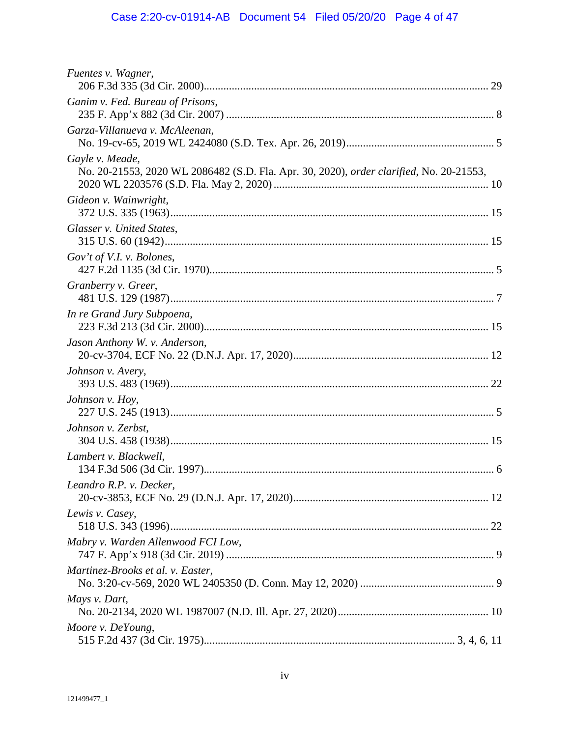# Case 2:20-cv-01914-AB Document 54 Filed 05/20/20 Page 4 of 47

| Fuentes v. Wagner,                                                                                         |
|------------------------------------------------------------------------------------------------------------|
| Ganim v. Fed. Bureau of Prisons,                                                                           |
| Garza-Villanueva v. McAleenan,                                                                             |
| Gayle v. Meade,<br>No. 20-21553, 2020 WL 2086482 (S.D. Fla. Apr. 30, 2020), order clarified, No. 20-21553, |
| Gideon v. Wainwright,                                                                                      |
| Glasser v. United States,                                                                                  |
| Gov't of V.I. v. Bolones,                                                                                  |
| Granberry v. Greer,                                                                                        |
| In re Grand Jury Subpoena,                                                                                 |
| Jason Anthony W. v. Anderson,                                                                              |
| Johnson v. Avery,                                                                                          |
| Johnson v. Hoy,                                                                                            |
| Johnson v. Zerbst,                                                                                         |
| Lambert v. Blackwell,                                                                                      |
| Leandro R.P. v. Decker,                                                                                    |
| Lewis v. Casey,                                                                                            |
| Mabry v. Warden Allenwood FCI Low,                                                                         |
| Martinez-Brooks et al. v. Easter,                                                                          |
| Mays v. Dart,                                                                                              |
| Moore v. DeYoung,                                                                                          |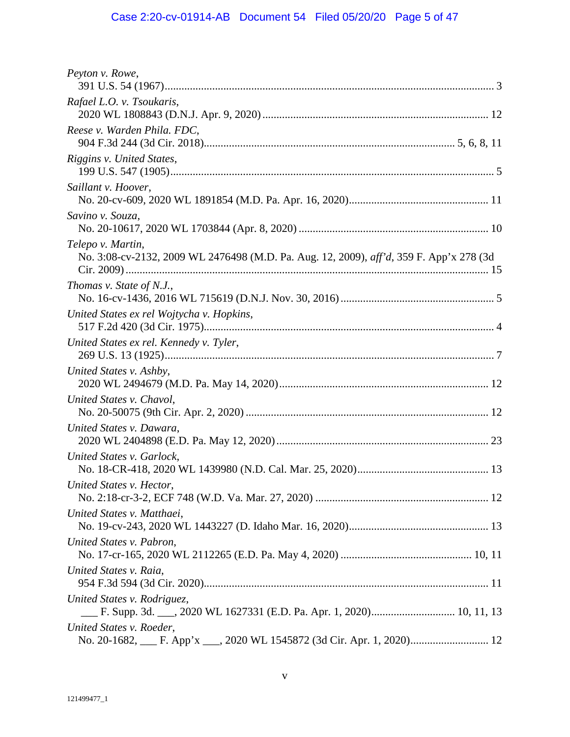# Case 2:20-cv-01914-AB Document 54 Filed 05/20/20 Page 5 of 47

| Peyton v. Rowe,                                                                                              |
|--------------------------------------------------------------------------------------------------------------|
| Rafael L.O. v. Tsoukaris,                                                                                    |
| Reese v. Warden Phila. FDC,                                                                                  |
| Riggins v. United States,                                                                                    |
| Saillant v. Hoover,                                                                                          |
| Savino v. Souza,                                                                                             |
| Telepo v. Martin,<br>No. 3:08-cv-2132, 2009 WL 2476498 (M.D. Pa. Aug. 12, 2009), aff'd, 359 F. App'x 278 (3d |
| Thomas v. State of N.J.,                                                                                     |
| United States ex rel Wojtycha v. Hopkins,                                                                    |
| United States ex rel. Kennedy v. Tyler,                                                                      |
| United States v. Ashby,                                                                                      |
| United States v. Chavol,                                                                                     |
| United States v. Dawara,                                                                                     |
| United States v. Garlock,                                                                                    |
| United States v. Hector,                                                                                     |
| United States v. Matthaei,                                                                                   |
| United States v. Pabron,                                                                                     |
| United States v. Raia,                                                                                       |
| United States v. Rodriguez,                                                                                  |
| United States v. Roeder,                                                                                     |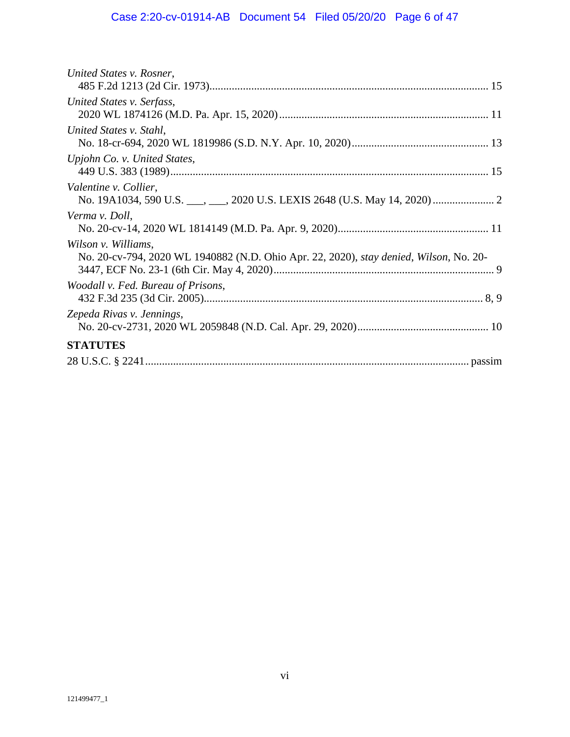# Case 2:20-cv-01914-AB Document 54 Filed 05/20/20 Page 6 of 47

| United States v. Rosner,                                                                                      |
|---------------------------------------------------------------------------------------------------------------|
| United States v. Serfass,                                                                                     |
| United States v. Stahl,                                                                                       |
| Upjohn Co. v. United States,                                                                                  |
| Valentine v. Collier,                                                                                         |
| Verma v. Doll,                                                                                                |
| Wilson v. Williams,<br>No. 20-cv-794, 2020 WL 1940882 (N.D. Ohio Apr. 22, 2020), stay denied, Wilson, No. 20- |
| Woodall v. Fed. Bureau of Prisons,                                                                            |
| Zepeda Rivas v. Jennings,                                                                                     |
| <b>STATUTES</b>                                                                                               |
|                                                                                                               |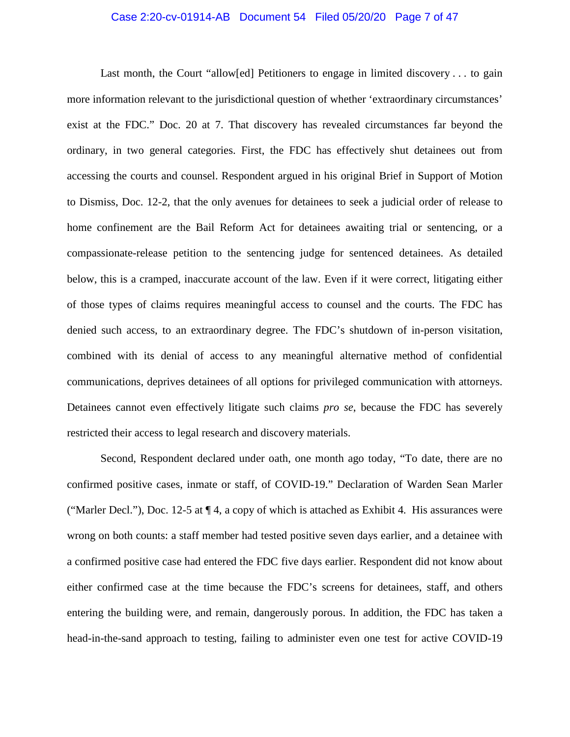#### Case 2:20-cv-01914-AB Document 54 Filed 05/20/20 Page 7 of 47

Last month, the Court "allow[ed] Petitioners to engage in limited discovery . . . to gain more information relevant to the jurisdictional question of whether 'extraordinary circumstances' exist at the FDC." Doc. 20 at 7. That discovery has revealed circumstances far beyond the ordinary, in two general categories. First, the FDC has effectively shut detainees out from accessing the courts and counsel. Respondent argued in his original Brief in Support of Motion to Dismiss, Doc. 12-2, that the only avenues for detainees to seek a judicial order of release to home confinement are the Bail Reform Act for detainees awaiting trial or sentencing, or a compassionate-release petition to the sentencing judge for sentenced detainees. As detailed below, this is a cramped, inaccurate account of the law. Even if it were correct, litigating either of those types of claims requires meaningful access to counsel and the courts. The FDC has denied such access, to an extraordinary degree. The FDC's shutdown of in-person visitation, combined with its denial of access to any meaningful alternative method of confidential communications, deprives detainees of all options for privileged communication with attorneys. Detainees cannot even effectively litigate such claims *pro se*, because the FDC has severely restricted their access to legal research and discovery materials.

Second, Respondent declared under oath, one month ago today, "To date, there are no confirmed positive cases, inmate or staff, of COVID-19." Declaration of Warden Sean Marler ("Marler Decl."), Doc. 12-5 at ¶ 4, a copy of which is attached as Exhibit 4. His assurances were wrong on both counts: a staff member had tested positive seven days earlier, and a detainee with a confirmed positive case had entered the FDC five days earlier. Respondent did not know about either confirmed case at the time because the FDC's screens for detainees, staff, and others entering the building were, and remain, dangerously porous. In addition, the FDC has taken a head-in-the-sand approach to testing, failing to administer even one test for active COVID-19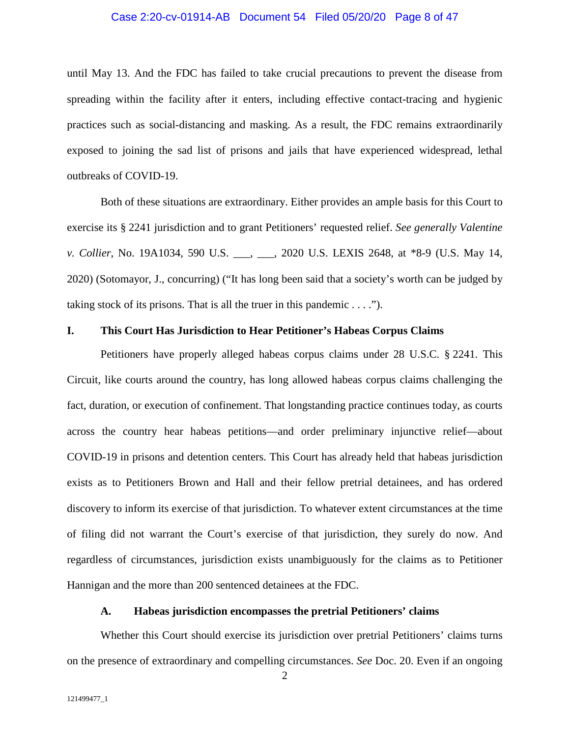#### Case 2:20-cv-01914-AB Document 54 Filed 05/20/20 Page 8 of 47

until May 13. And the FDC has failed to take crucial precautions to prevent the disease from spreading within the facility after it enters, including effective contact-tracing and hygienic practices such as social-distancing and masking. As a result, the FDC remains extraordinarily exposed to joining the sad list of prisons and jails that have experienced widespread, lethal outbreaks of COVID-19.

Both of these situations are extraordinary. Either provides an ample basis for this Court to exercise its § 2241 jurisdiction and to grant Petitioners' requested relief. *See generally Valentine v. Collier*, No. 19A1034, 590 U.S. \_\_\_, \_\_\_, 2020 U.S. LEXIS 2648, at \*8-9 (U.S. May 14, 2020) (Sotomayor, J., concurring) ("It has long been said that a society's worth can be judged by taking stock of its prisons. That is all the truer in this pandemic  $\dots$ .

#### **I. This Court Has Jurisdiction to Hear Petitioner's Habeas Corpus Claims**

Petitioners have properly alleged habeas corpus claims under 28 U.S.C. § 2241. This Circuit, like courts around the country, has long allowed habeas corpus claims challenging the fact, duration, or execution of confinement. That longstanding practice continues today, as courts across the country hear habeas petitions—and order preliminary injunctive relief—about COVID-19 in prisons and detention centers. This Court has already held that habeas jurisdiction exists as to Petitioners Brown and Hall and their fellow pretrial detainees, and has ordered discovery to inform its exercise of that jurisdiction. To whatever extent circumstances at the time of filing did not warrant the Court's exercise of that jurisdiction, they surely do now. And regardless of circumstances, jurisdiction exists unambiguously for the claims as to Petitioner Hannigan and the more than 200 sentenced detainees at the FDC.

### **A. Habeas jurisdiction encompasses the pretrial Petitioners' claims**

Whether this Court should exercise its jurisdiction over pretrial Petitioners' claims turns on the presence of extraordinary and compelling circumstances. *See* Doc. 20. Even if an ongoing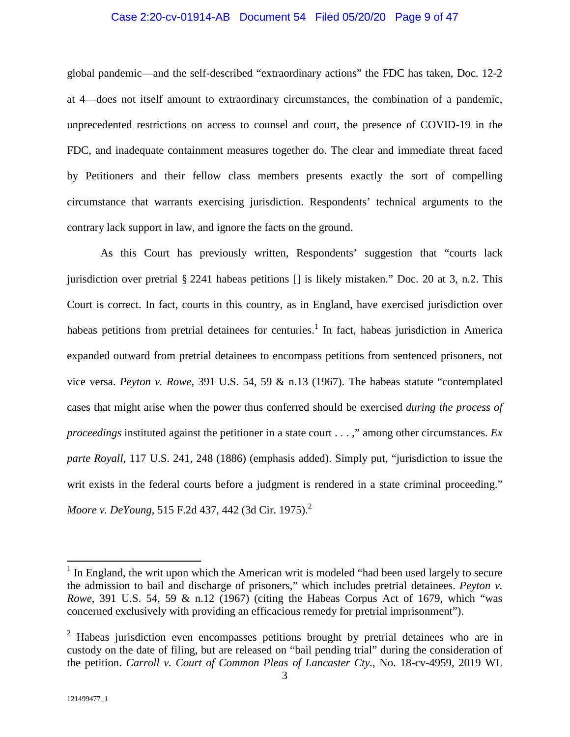#### Case 2:20-cv-01914-AB Document 54 Filed 05/20/20 Page 9 of 47

global pandemic—and the self-described "extraordinary actions" the FDC has taken, Doc. 12-2 at 4—does not itself amount to extraordinary circumstances, the combination of a pandemic, unprecedented restrictions on access to counsel and court, the presence of COVID-19 in the FDC, and inadequate containment measures together do. The clear and immediate threat faced by Petitioners and their fellow class members presents exactly the sort of compelling circumstance that warrants exercising jurisdiction. Respondents' technical arguments to the contrary lack support in law, and ignore the facts on the ground.

As this Court has previously written, Respondents' suggestion that "courts lack jurisdiction over pretrial § 2241 habeas petitions [] is likely mistaken." Doc. 20 at 3, n.2. This Court is correct. In fact, courts in this country, as in England, have exercised jurisdiction over habeas petitions from pretrial detainees for centuries.<sup>1</sup> In fact, habeas jurisdiction in America expanded outward from pretrial detainees to encompass petitions from sentenced prisoners, not vice versa. *Peyton v. Rowe*, 391 U.S. 54, 59 & n.13 (1967). The habeas statute "contemplated cases that might arise when the power thus conferred should be exercised *during the process of proceedings* instituted against the petitioner in a state court . . . ," among other circumstances. *Ex parte Royall*, 117 U.S. 241, 248 (1886) (emphasis added). Simply put, "jurisdiction to issue the writ exists in the federal courts before a judgment is rendered in a state criminal proceeding." *Moore v. DeYoung*, 515 F.2d 437, 442 (3d Cir. 1975).<sup>2</sup>

 $<sup>1</sup>$  In England, the writ upon which the American writ is modeled "had been used largely to secure</sup> the admission to bail and discharge of prisoners," which includes pretrial detainees. *Peyton v. Rowe*, 391 U.S. 54, 59 & n.12 (1967) (citing the Habeas Corpus Act of 1679, which "was concerned exclusively with providing an efficacious remedy for pretrial imprisonment").

 $2$  Habeas jurisdiction even encompasses petitions brought by pretrial detainees who are in custody on the date of filing, but are released on "bail pending trial" during the consideration of the petition. *Carroll v. Court of Common Pleas of Lancaster Cty.*, No. 18-cv-4959, 2019 WL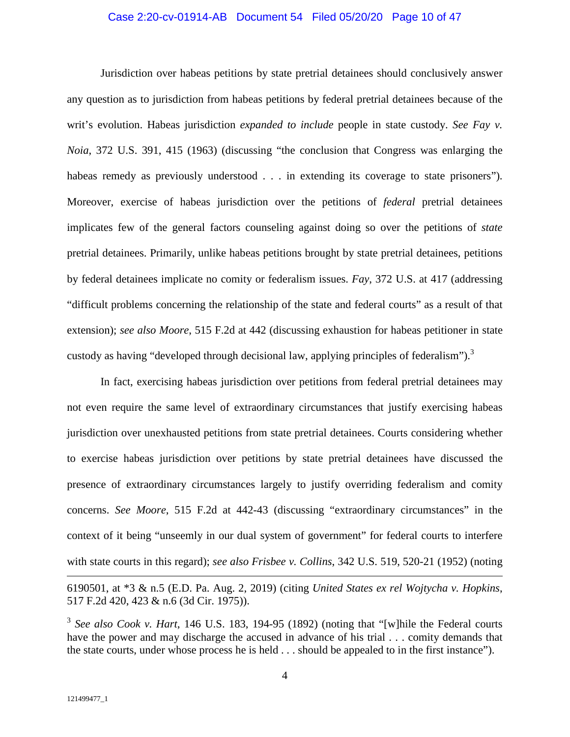#### Case 2:20-cv-01914-AB Document 54 Filed 05/20/20 Page 10 of 47

Jurisdiction over habeas petitions by state pretrial detainees should conclusively answer any question as to jurisdiction from habeas petitions by federal pretrial detainees because of the writ's evolution. Habeas jurisdiction *expanded to include* people in state custody. *See Fay v. Noia*, 372 U.S. 391, 415 (1963) (discussing "the conclusion that Congress was enlarging the habeas remedy as previously understood . . . in extending its coverage to state prisoners"). Moreover, exercise of habeas jurisdiction over the petitions of *federal* pretrial detainees implicates few of the general factors counseling against doing so over the petitions of *state* pretrial detainees. Primarily, unlike habeas petitions brought by state pretrial detainees, petitions by federal detainees implicate no comity or federalism issues. *Fay*, 372 U.S. at 417 (addressing "difficult problems concerning the relationship of the state and federal courts" as a result of that extension); *see also Moore*, 515 F.2d at 442 (discussing exhaustion for habeas petitioner in state custody as having "developed through decisional law, applying principles of federalism").<sup>3</sup>

In fact, exercising habeas jurisdiction over petitions from federal pretrial detainees may not even require the same level of extraordinary circumstances that justify exercising habeas jurisdiction over unexhausted petitions from state pretrial detainees. Courts considering whether to exercise habeas jurisdiction over petitions by state pretrial detainees have discussed the presence of extraordinary circumstances largely to justify overriding federalism and comity concerns. *See Moore*, 515 F.2d at 442-43 (discussing "extraordinary circumstances" in the context of it being "unseemly in our dual system of government" for federal courts to interfere with state courts in this regard); *see also Frisbee v. Collins*, 342 U.S. 519, 520-21 (1952) (noting

<sup>6190501,</sup> at \*3 & n.5 (E.D. Pa. Aug. 2, 2019) (citing *United States ex rel Wojtycha v. Hopkins*, 517 F.2d 420, 423 & n.6 (3d Cir. 1975)).

<sup>3</sup> *See also Cook v. Hart*, 146 U.S. 183, 194-95 (1892) (noting that "[w]hile the Federal courts have the power and may discharge the accused in advance of his trial . . . comity demands that the state courts, under whose process he is held . . . should be appealed to in the first instance").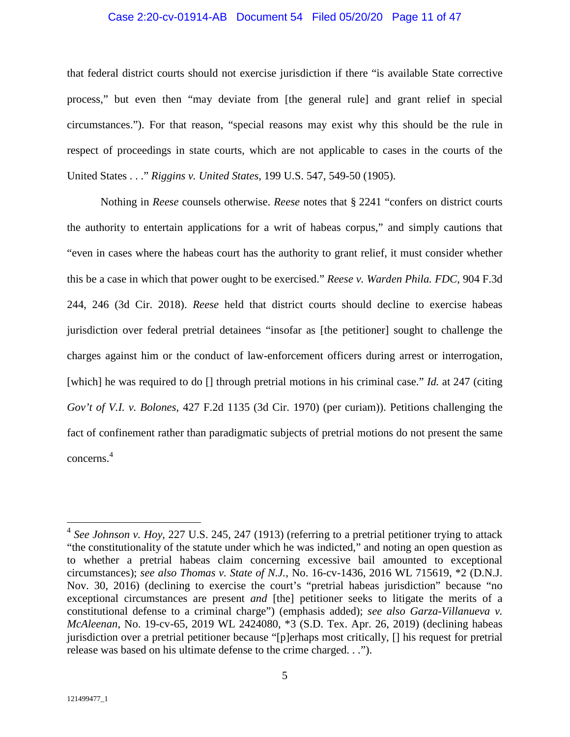#### Case 2:20-cv-01914-AB Document 54 Filed 05/20/20 Page 11 of 47

that federal district courts should not exercise jurisdiction if there "is available State corrective process," but even then "may deviate from [the general rule] and grant relief in special circumstances."). For that reason, "special reasons may exist why this should be the rule in respect of proceedings in state courts, which are not applicable to cases in the courts of the United States . . ." *Riggins v. United States*, 199 U.S. 547, 549-50 (1905).

Nothing in *Reese* counsels otherwise. *Reese* notes that § 2241 "confers on district courts the authority to entertain applications for a writ of habeas corpus," and simply cautions that "even in cases where the habeas court has the authority to grant relief, it must consider whether this be a case in which that power ought to be exercised." *Reese v. Warden Phila. FDC*, 904 F.3d 244, 246 (3d Cir. 2018). *Reese* held that district courts should decline to exercise habeas jurisdiction over federal pretrial detainees "insofar as [the petitioner] sought to challenge the charges against him or the conduct of law-enforcement officers during arrest or interrogation, [which] he was required to do [] through pretrial motions in his criminal case." *Id.* at 247 (citing *Gov't of V.I. v. Bolones*, 427 F.2d 1135 (3d Cir. 1970) (per curiam)). Petitions challenging the fact of confinement rather than paradigmatic subjects of pretrial motions do not present the same concerns. 4

<sup>4</sup> *See Johnson v. Hoy*, 227 U.S. 245, 247 (1913) (referring to a pretrial petitioner trying to attack "the constitutionality of the statute under which he was indicted," and noting an open question as to whether a pretrial habeas claim concerning excessive bail amounted to exceptional circumstances); *see also Thomas v. State of N.J.*, No. 16-cv-1436, 2016 WL 715619, \*2 (D.N.J. Nov. 30, 2016) (declining to exercise the court's "pretrial habeas jurisdiction" because "no exceptional circumstances are present *and* [the] petitioner seeks to litigate the merits of a constitutional defense to a criminal charge") (emphasis added); *see also Garza-Villanueva v. McAleenan*, No. 19-cv-65, 2019 WL 2424080, \*3 (S.D. Tex. Apr. 26, 2019) (declining habeas jurisdiction over a pretrial petitioner because "[p]erhaps most critically, [] his request for pretrial release was based on his ultimate defense to the crime charged. . .").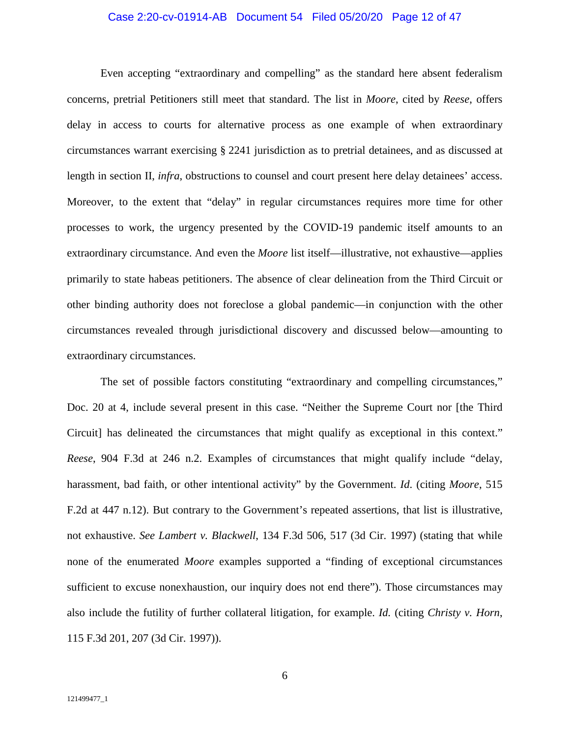#### Case 2:20-cv-01914-AB Document 54 Filed 05/20/20 Page 12 of 47

Even accepting "extraordinary and compelling" as the standard here absent federalism concerns, pretrial Petitioners still meet that standard. The list in *Moore*, cited by *Reese*, offers delay in access to courts for alternative process as one example of when extraordinary circumstances warrant exercising § 2241 jurisdiction as to pretrial detainees, and as discussed at length in section II, *infra*, obstructions to counsel and court present here delay detainees' access. Moreover, to the extent that "delay" in regular circumstances requires more time for other processes to work, the urgency presented by the COVID-19 pandemic itself amounts to an extraordinary circumstance. And even the *Moore* list itself—illustrative, not exhaustive—applies primarily to state habeas petitioners. The absence of clear delineation from the Third Circuit or other binding authority does not foreclose a global pandemic—in conjunction with the other circumstances revealed through jurisdictional discovery and discussed below—amounting to extraordinary circumstances.

The set of possible factors constituting "extraordinary and compelling circumstances," Doc. 20 at 4, include several present in this case. "Neither the Supreme Court nor [the Third Circuit] has delineated the circumstances that might qualify as exceptional in this context." *Reese*, 904 F.3d at 246 n.2. Examples of circumstances that might qualify include "delay, harassment, bad faith, or other intentional activity" by the Government. *Id*. (citing *Moore*, 515 F.2d at 447 n.12). But contrary to the Government's repeated assertions, that list is illustrative, not exhaustive. *See Lambert v. Blackwell*, 134 F.3d 506, 517 (3d Cir. 1997) (stating that while none of the enumerated *Moore* examples supported a "finding of exceptional circumstances sufficient to excuse nonexhaustion, our inquiry does not end there"). Those circumstances may also include the futility of further collateral litigation, for example. *Id.* (citing *Christy v. Horn*, 115 F.3d 201, 207 (3d Cir. 1997)).

6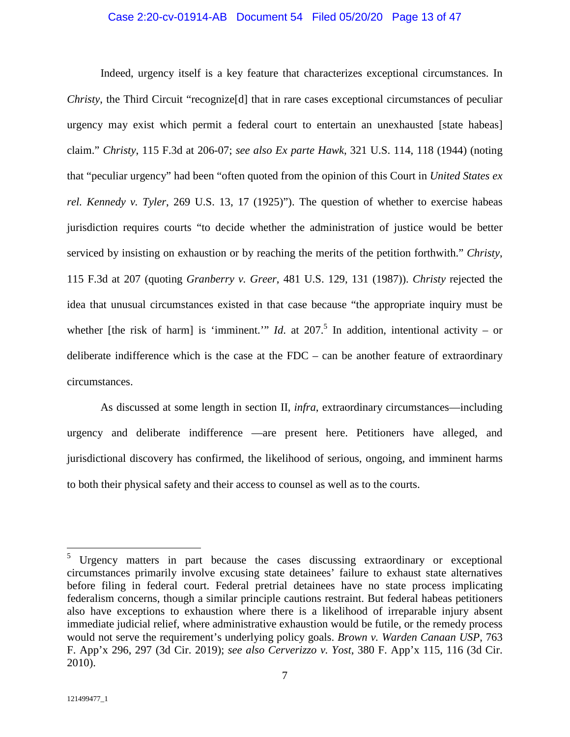#### Case 2:20-cv-01914-AB Document 54 Filed 05/20/20 Page 13 of 47

Indeed, urgency itself is a key feature that characterizes exceptional circumstances. In *Christy*, the Third Circuit "recognize<sup>[d]</sup> that in rare cases exceptional circumstances of peculiar urgency may exist which permit a federal court to entertain an unexhausted [state habeas] claim." *Christy*, 115 F.3d at 206-07; *see also Ex parte Hawk*, 321 U.S. 114, 118 (1944) (noting that "peculiar urgency" had been "often quoted from the opinion of this Court in *United States ex rel. Kennedy v. Tyler*, 269 U.S. 13, 17 (1925)"). The question of whether to exercise habeas jurisdiction requires courts "to decide whether the administration of justice would be better serviced by insisting on exhaustion or by reaching the merits of the petition forthwith." *Christy*, 115 F.3d at 207 (quoting *Granberry v. Greer*, 481 U.S. 129, 131 (1987)). *Christy* rejected the idea that unusual circumstances existed in that case because "the appropriate inquiry must be whether [the risk of harm] is 'imminent.'" *Id.* at 207.<sup>5</sup> In addition, intentional activity – or deliberate indifference which is the case at the FDC – can be another feature of extraordinary circumstances.

As discussed at some length in section II, *infra*, extraordinary circumstances—including urgency and deliberate indifference —are present here. Petitioners have alleged, and jurisdictional discovery has confirmed, the likelihood of serious, ongoing, and imminent harms to both their physical safety and their access to counsel as well as to the courts.

<sup>&</sup>lt;sup>5</sup> Urgency matters in part because the cases discussing extraordinary or exceptional circumstances primarily involve excusing state detainees' failure to exhaust state alternatives before filing in federal court. Federal pretrial detainees have no state process implicating federalism concerns, though a similar principle cautions restraint. But federal habeas petitioners also have exceptions to exhaustion where there is a likelihood of irreparable injury absent immediate judicial relief, where administrative exhaustion would be futile, or the remedy process would not serve the requirement's underlying policy goals. *Brown v. Warden Canaan USP*, 763 F. App'x 296, 297 (3d Cir. 2019); *see also Cerverizzo v. Yost*, 380 F. App'x 115, 116 (3d Cir. 2010).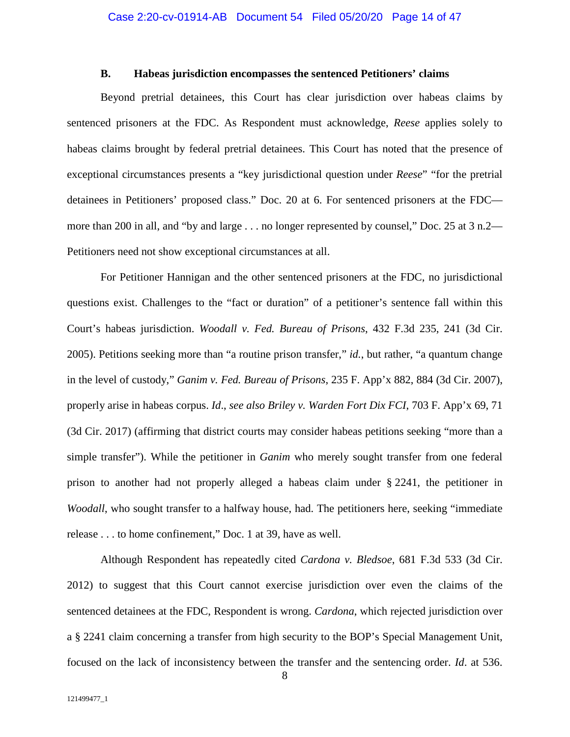### **B. Habeas jurisdiction encompasses the sentenced Petitioners' claims**

Beyond pretrial detainees, this Court has clear jurisdiction over habeas claims by sentenced prisoners at the FDC. As Respondent must acknowledge, *Reese* applies solely to habeas claims brought by federal pretrial detainees. This Court has noted that the presence of exceptional circumstances presents a "key jurisdictional question under *Reese*" "for the pretrial detainees in Petitioners' proposed class." Doc. 20 at 6. For sentenced prisoners at the FDC more than 200 in all, and "by and large . . . no longer represented by counsel." Doc. 25 at 3 n.2— Petitioners need not show exceptional circumstances at all.

For Petitioner Hannigan and the other sentenced prisoners at the FDC, no jurisdictional questions exist. Challenges to the "fact or duration" of a petitioner's sentence fall within this Court's habeas jurisdiction. *Woodall v. Fed. Bureau of Prisons*, 432 F.3d 235, 241 (3d Cir. 2005). Petitions seeking more than "a routine prison transfer," *id.*, but rather, "a quantum change in the level of custody," *Ganim v. Fed. Bureau of Prisons*, 235 F. App'x 882, 884 (3d Cir. 2007), properly arise in habeas corpus. *Id*., *see also Briley v. Warden Fort Dix FCI*, 703 F. App'x 69, 71 (3d Cir. 2017) (affirming that district courts may consider habeas petitions seeking "more than a simple transfer"). While the petitioner in *Ganim* who merely sought transfer from one federal prison to another had not properly alleged a habeas claim under § 2241, the petitioner in *Woodall*, who sought transfer to a halfway house, had. The petitioners here, seeking "immediate release . . . to home confinement," Doc. 1 at 39, have as well.

Although Respondent has repeatedly cited *Cardona v. Bledsoe*, 681 F.3d 533 (3d Cir. 2012) to suggest that this Court cannot exercise jurisdiction over even the claims of the sentenced detainees at the FDC, Respondent is wrong. *Cardona*, which rejected jurisdiction over a § 2241 claim concerning a transfer from high security to the BOP's Special Management Unit, focused on the lack of inconsistency between the transfer and the sentencing order. *Id*. at 536.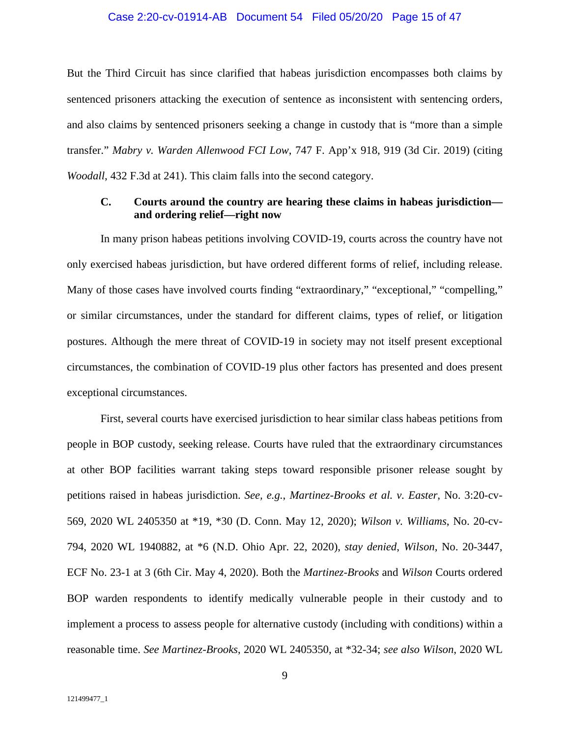#### Case 2:20-cv-01914-AB Document 54 Filed 05/20/20 Page 15 of 47

But the Third Circuit has since clarified that habeas jurisdiction encompasses both claims by sentenced prisoners attacking the execution of sentence as inconsistent with sentencing orders, and also claims by sentenced prisoners seeking a change in custody that is "more than a simple transfer." *Mabry v. Warden Allenwood FCI Low*, 747 F. App'x 918, 919 (3d Cir. 2019) (citing *Woodall*, 432 F.3d at 241). This claim falls into the second category.

## **C. Courts around the country are hearing these claims in habeas jurisdiction and ordering relief—right now**

In many prison habeas petitions involving COVID-19, courts across the country have not only exercised habeas jurisdiction, but have ordered different forms of relief, including release. Many of those cases have involved courts finding "extraordinary," "exceptional," "compelling," or similar circumstances, under the standard for different claims, types of relief, or litigation postures. Although the mere threat of COVID-19 in society may not itself present exceptional circumstances, the combination of COVID-19 plus other factors has presented and does present exceptional circumstances.

First, several courts have exercised jurisdiction to hear similar class habeas petitions from people in BOP custody, seeking release. Courts have ruled that the extraordinary circumstances at other BOP facilities warrant taking steps toward responsible prisoner release sought by petitions raised in habeas jurisdiction. *See, e.g.*, *Martinez-Brooks et al. v. Easter*, No. 3:20-cv-569, 2020 WL 2405350 at \*19, \*30 (D. Conn. May 12, 2020); *Wilson v. Williams*, No. 20-cv-794, 2020 WL 1940882, at \*6 (N.D. Ohio Apr. 22, 2020), *stay denied*, *Wilson*, No. 20-3447, ECF No. 23-1 at 3 (6th Cir. May 4, 2020). Both the *Martinez-Brooks* and *Wilson* Courts ordered BOP warden respondents to identify medically vulnerable people in their custody and to implement a process to assess people for alternative custody (including with conditions) within a reasonable time. *See Martinez-Brooks*, 2020 WL 2405350, at \*32-34; *see also Wilson*, 2020 WL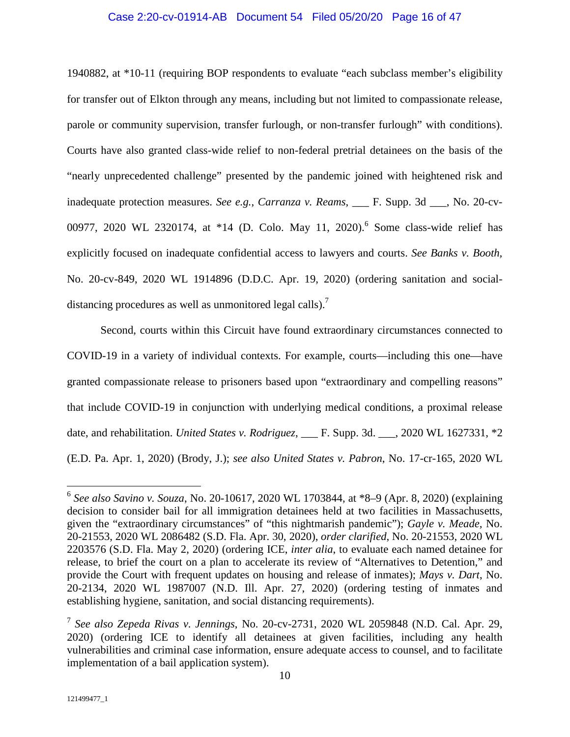#### Case 2:20-cv-01914-AB Document 54 Filed 05/20/20 Page 16 of 47

1940882, at \*10-11 (requiring BOP respondents to evaluate "each subclass member's eligibility for transfer out of Elkton through any means, including but not limited to compassionate release, parole or community supervision, transfer furlough, or non-transfer furlough" with conditions). Courts have also granted class-wide relief to non-federal pretrial detainees on the basis of the "nearly unprecedented challenge" presented by the pandemic joined with heightened risk and inadequate protection measures. *See e.g.*, *Carranza v. Reams*, \_\_\_ F. Supp. 3d \_\_\_, No. 20-cv-00977, 2020 WL 2320174, at \*14 (D. Colo. May 11, 2020).<sup>6</sup> Some class-wide relief has explicitly focused on inadequate confidential access to lawyers and courts. *See Banks v. Booth,*  No. 20-cv-849, 2020 WL 1914896 (D.D.C. Apr. 19, 2020) (ordering sanitation and socialdistancing procedures as well as unmonitored legal calls).<sup>7</sup>

Second, courts within this Circuit have found extraordinary circumstances connected to COVID-19 in a variety of individual contexts. For example, courts—including this one—have granted compassionate release to prisoners based upon "extraordinary and compelling reasons" that include COVID-19 in conjunction with underlying medical conditions, a proximal release date, and rehabilitation. *United States v. Rodriguez*, \_\_\_ F. Supp. 3d. \_\_\_, 2020 WL 1627331, \*2 (E.D. Pa. Apr. 1, 2020) (Brody, J.); *see also United States v. Pabron*, No. 17-cr-165, 2020 WL

<sup>6</sup> *See also Savino v. Souza*, No. 20-10617, 2020 WL 1703844, at \*8–9 (Apr. 8, 2020) (explaining decision to consider bail for all immigration detainees held at two facilities in Massachusetts, given the "extraordinary circumstances" of "this nightmarish pandemic"); *Gayle v. Meade,* No. 20-21553, 2020 WL 2086482 (S.D. Fla. Apr. 30, 2020), *order clarified*, No. 20-21553, 2020 WL 2203576 (S.D. Fla. May 2, 2020) (ordering ICE, *inter alia*, to evaluate each named detainee for release, to brief the court on a plan to accelerate its review of "Alternatives to Detention," and provide the Court with frequent updates on housing and release of inmates); *Mays v. Dart*, No. 20-2134, 2020 WL 1987007 (N.D. Ill. Apr. 27, 2020) (ordering testing of inmates and establishing hygiene, sanitation, and social distancing requirements).

<sup>7</sup> *See also Zepeda Rivas v. Jennings*, No. 20-cv-2731, 2020 WL 2059848 (N.D. Cal. Apr. 29, 2020) (ordering ICE to identify all detainees at given facilities, including any health vulnerabilities and criminal case information, ensure adequate access to counsel, and to facilitate implementation of a bail application system).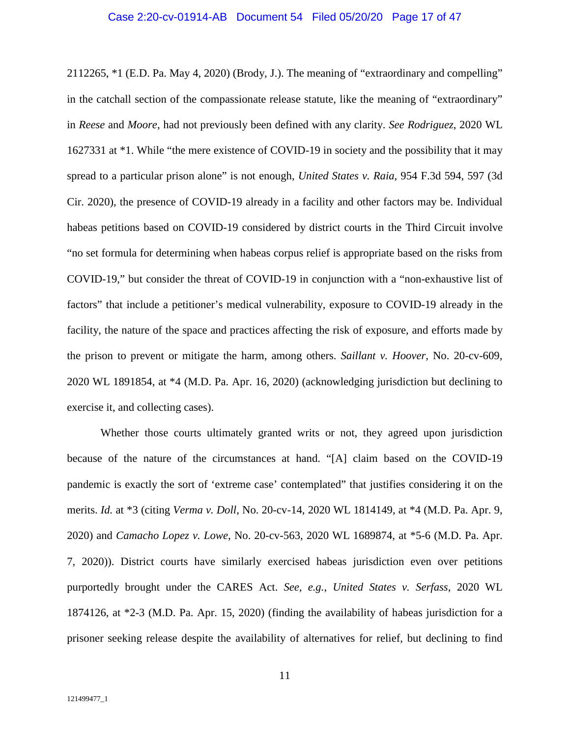#### Case 2:20-cv-01914-AB Document 54 Filed 05/20/20 Page 17 of 47

2112265, \*1 (E.D. Pa. May 4, 2020) (Brody, J.). The meaning of "extraordinary and compelling" in the catchall section of the compassionate release statute, like the meaning of "extraordinary" in *Reese* and *Moore*, had not previously been defined with any clarity. *See Rodriguez*, 2020 WL 1627331 at \*1. While "the mere existence of COVID-19 in society and the possibility that it may spread to a particular prison alone" is not enough, *United States v. Raia*, 954 F.3d 594, 597 (3d Cir. 2020), the presence of COVID-19 already in a facility and other factors may be. Individual habeas petitions based on COVID-19 considered by district courts in the Third Circuit involve "no set formula for determining when habeas corpus relief is appropriate based on the risks from COVID-19," but consider the threat of COVID-19 in conjunction with a "non-exhaustive list of factors" that include a petitioner's medical vulnerability, exposure to COVID-19 already in the facility, the nature of the space and practices affecting the risk of exposure, and efforts made by the prison to prevent or mitigate the harm, among others. *Saillant v. Hoover*, No. 20-cv-609, 2020 WL 1891854, at \*4 (M.D. Pa. Apr. 16, 2020) (acknowledging jurisdiction but declining to exercise it, and collecting cases).

Whether those courts ultimately granted writs or not, they agreed upon jurisdiction because of the nature of the circumstances at hand. "[A] claim based on the COVID-19 pandemic is exactly the sort of 'extreme case' contemplated" that justifies considering it on the merits. *Id.* at \*3 (citing *Verma v. Doll*, No. 20-cv-14, 2020 WL 1814149, at \*4 (M.D. Pa. Apr. 9, 2020) and *Camacho Lopez v. Lowe*, No. 20-cv-563, 2020 WL 1689874, at \*5-6 (M.D. Pa. Apr. 7, 2020)). District courts have similarly exercised habeas jurisdiction even over petitions purportedly brought under the CARES Act. *See, e.g.*, *United States v. Serfass*, 2020 WL 1874126, at \*2-3 (M.D. Pa. Apr. 15, 2020) (finding the availability of habeas jurisdiction for a prisoner seeking release despite the availability of alternatives for relief, but declining to find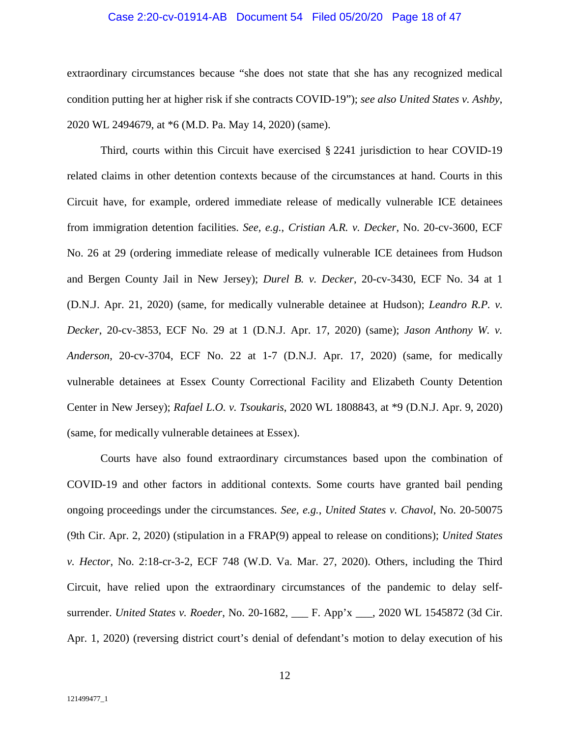#### Case 2:20-cv-01914-AB Document 54 Filed 05/20/20 Page 18 of 47

extraordinary circumstances because "she does not state that she has any recognized medical condition putting her at higher risk if she contracts COVID-19"); *see also United States v. Ashby*, 2020 WL 2494679, at \*6 (M.D. Pa. May 14, 2020) (same).

Third, courts within this Circuit have exercised § 2241 jurisdiction to hear COVID-19 related claims in other detention contexts because of the circumstances at hand. Courts in this Circuit have, for example, ordered immediate release of medically vulnerable ICE detainees from immigration detention facilities. *See, e.g.*, *Cristian A.R. v. Decker*, No. 20-cv-3600, ECF No. 26 at 29 (ordering immediate release of medically vulnerable ICE detainees from Hudson and Bergen County Jail in New Jersey); *Durel B. v. Decker*, 20-cv-3430, ECF No. 34 at 1 (D.N.J. Apr. 21, 2020) (same, for medically vulnerable detainee at Hudson); *Leandro R.P. v. Decker*, 20-cv-3853, ECF No. 29 at 1 (D.N.J. Apr. 17, 2020) (same); *Jason Anthony W. v. Anderson*, 20-cv-3704, ECF No. 22 at 1-7 (D.N.J. Apr. 17, 2020) (same, for medically vulnerable detainees at Essex County Correctional Facility and Elizabeth County Detention Center in New Jersey); *Rafael L.O. v. Tsoukaris*, 2020 WL 1808843, at \*9 (D.N.J. Apr. 9, 2020) (same, for medically vulnerable detainees at Essex).

Courts have also found extraordinary circumstances based upon the combination of COVID-19 and other factors in additional contexts. Some courts have granted bail pending ongoing proceedings under the circumstances. *See, e.g.*, *United States v. Chavol*, No. 20-50075 (9th Cir. Apr. 2, 2020) (stipulation in a FRAP(9) appeal to release on conditions); *United States v. Hector*, No. 2:18-cr-3-2, ECF 748 (W.D. Va. Mar. 27, 2020). Others, including the Third Circuit, have relied upon the extraordinary circumstances of the pandemic to delay selfsurrender. *United States v. Roeder*, No. 20-1682, \_\_\_ F. App'x \_\_\_, 2020 WL 1545872 (3d Cir. Apr. 1, 2020) (reversing district court's denial of defendant's motion to delay execution of his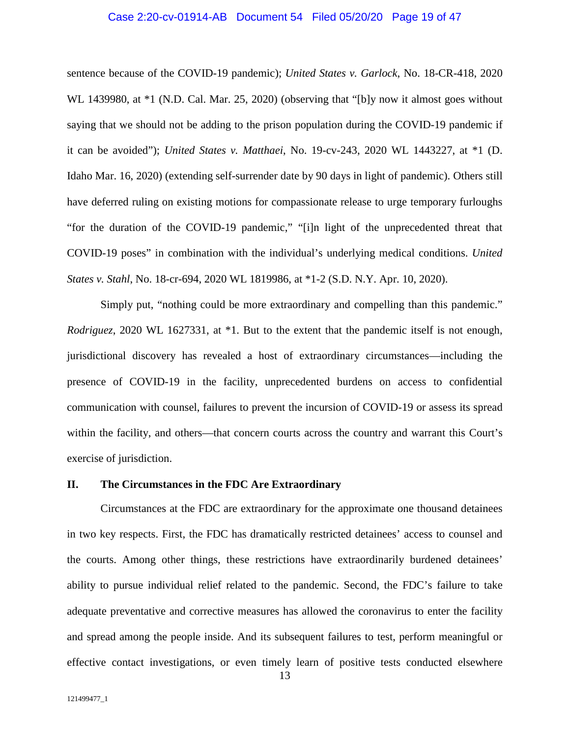#### Case 2:20-cv-01914-AB Document 54 Filed 05/20/20 Page 19 of 47

sentence because of the COVID-19 pandemic); *United States v. Garlock*, No. 18-CR-418, 2020 WL 1439980, at  $*1$  (N.D. Cal. Mar. 25, 2020) (observing that "[b]y now it almost goes without saying that we should not be adding to the prison population during the COVID-19 pandemic if it can be avoided"); *United States v. Matthaei*, No. 19-cv-243, 2020 WL 1443227, at \*1 (D. Idaho Mar. 16, 2020) (extending self-surrender date by 90 days in light of pandemic). Others still have deferred ruling on existing motions for compassionate release to urge temporary furloughs "for the duration of the COVID-19 pandemic," "[i]n light of the unprecedented threat that COVID-19 poses" in combination with the individual's underlying medical conditions. *United States v. Stahl*, No. 18-cr-694, 2020 WL 1819986, at \*1-2 (S.D. N.Y. Apr. 10, 2020).

Simply put, "nothing could be more extraordinary and compelling than this pandemic." *Rodriguez*, 2020 WL 1627331, at \*1. But to the extent that the pandemic itself is not enough, jurisdictional discovery has revealed a host of extraordinary circumstances—including the presence of COVID-19 in the facility, unprecedented burdens on access to confidential communication with counsel, failures to prevent the incursion of COVID-19 or assess its spread within the facility, and others—that concern courts across the country and warrant this Court's exercise of jurisdiction.

#### **II. The Circumstances in the FDC Are Extraordinary**

Circumstances at the FDC are extraordinary for the approximate one thousand detainees in two key respects. First, the FDC has dramatically restricted detainees' access to counsel and the courts. Among other things, these restrictions have extraordinarily burdened detainees' ability to pursue individual relief related to the pandemic. Second, the FDC's failure to take adequate preventative and corrective measures has allowed the coronavirus to enter the facility and spread among the people inside. And its subsequent failures to test, perform meaningful or effective contact investigations, or even timely learn of positive tests conducted elsewhere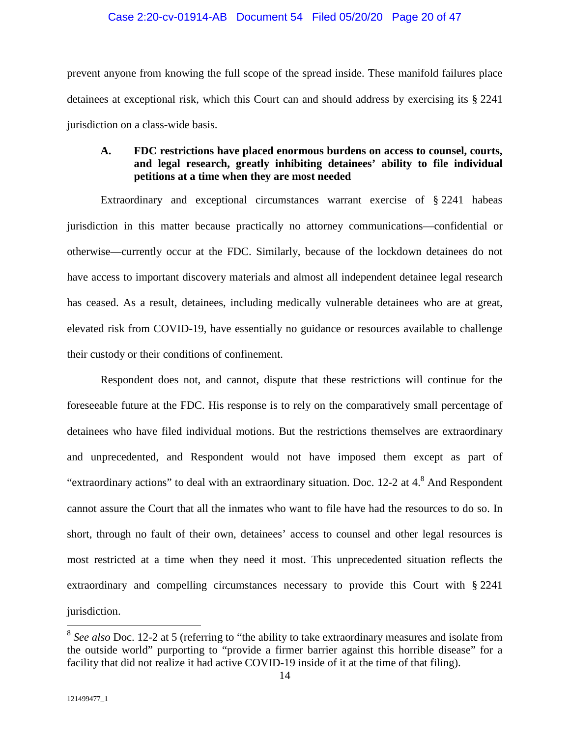#### Case 2:20-cv-01914-AB Document 54 Filed 05/20/20 Page 20 of 47

prevent anyone from knowing the full scope of the spread inside. These manifold failures place detainees at exceptional risk, which this Court can and should address by exercising its § 2241 jurisdiction on a class-wide basis.

## **A. FDC restrictions have placed enormous burdens on access to counsel, courts, and legal research, greatly inhibiting detainees' ability to file individual petitions at a time when they are most needed**

Extraordinary and exceptional circumstances warrant exercise of § 2241 habeas jurisdiction in this matter because practically no attorney communications—confidential or otherwise—currently occur at the FDC. Similarly, because of the lockdown detainees do not have access to important discovery materials and almost all independent detainee legal research has ceased. As a result, detainees, including medically vulnerable detainees who are at great, elevated risk from COVID-19, have essentially no guidance or resources available to challenge their custody or their conditions of confinement.

Respondent does not, and cannot, dispute that these restrictions will continue for the foreseeable future at the FDC. His response is to rely on the comparatively small percentage of detainees who have filed individual motions. But the restrictions themselves are extraordinary and unprecedented, and Respondent would not have imposed them except as part of "extraordinary actions" to deal with an extraordinary situation. Doc. 12-2 at  $4.8^8$  And Respondent cannot assure the Court that all the inmates who want to file have had the resources to do so. In short, through no fault of their own, detainees' access to counsel and other legal resources is most restricted at a time when they need it most. This unprecedented situation reflects the extraordinary and compelling circumstances necessary to provide this Court with § 2241 jurisdiction.

<sup>&</sup>lt;sup>8</sup> See also Doc. 12-2 at 5 (referring to "the ability to take extraordinary measures and isolate from the outside world" purporting to "provide a firmer barrier against this horrible disease" for a facility that did not realize it had active COVID-19 inside of it at the time of that filing).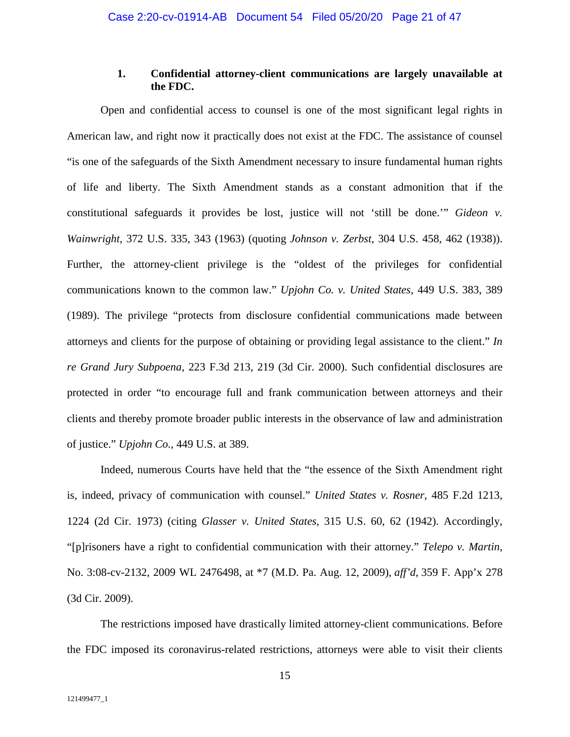## **1. Confidential attorney-client communications are largely unavailable at the FDC.**

Open and confidential access to counsel is one of the most significant legal rights in American law, and right now it practically does not exist at the FDC. The assistance of counsel "is one of the safeguards of the Sixth Amendment necessary to insure fundamental human rights of life and liberty. The Sixth Amendment stands as a constant admonition that if the constitutional safeguards it provides be lost, justice will not 'still be done.'" *Gideon v. Wainwright*, 372 U.S. 335, 343 (1963) (quoting *Johnson v. Zerbst*, 304 U.S. 458, 462 (1938)). Further, the attorney-client privilege is the "oldest of the privileges for confidential communications known to the common law." *Upjohn Co. v. United States*, 449 U.S. 383, 389 (1989). The privilege "protects from disclosure confidential communications made between attorneys and clients for the purpose of obtaining or providing legal assistance to the client." *In re Grand Jury Subpoena*, 223 F.3d 213, 219 (3d Cir. 2000). Such confidential disclosures are protected in order "to encourage full and frank communication between attorneys and their clients and thereby promote broader public interests in the observance of law and administration of justice." *Upjohn Co.*, 449 U.S. at 389.

Indeed, numerous Courts have held that the "the essence of the Sixth Amendment right is, indeed, privacy of communication with counsel." *United States v. Rosner*, 485 F.2d 1213, 1224 (2d Cir. 1973) (citing *Glasser v. United States*, 315 U.S. 60, 62 (1942). Accordingly, "[p]risoners have a right to confidential communication with their attorney." *Telepo v. Martin*, No. 3:08-cv-2132, 2009 WL 2476498, at \*7 (M.D. Pa. Aug. 12, 2009), *aff'd*, 359 F. App'x 278 (3d Cir. 2009).

The restrictions imposed have drastically limited attorney-client communications. Before the FDC imposed its coronavirus-related restrictions, attorneys were able to visit their clients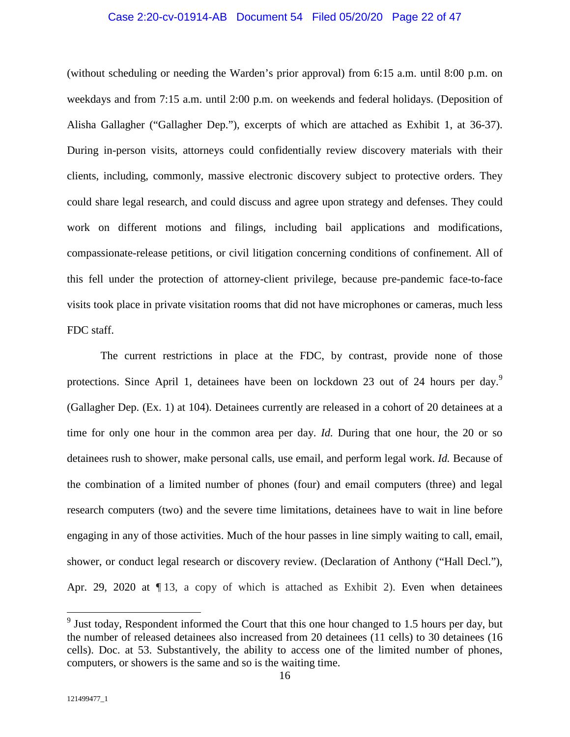#### Case 2:20-cv-01914-AB Document 54 Filed 05/20/20 Page 22 of 47

(without scheduling or needing the Warden's prior approval) from 6:15 a.m. until 8:00 p.m. on weekdays and from 7:15 a.m. until 2:00 p.m. on weekends and federal holidays. (Deposition of Alisha Gallagher ("Gallagher Dep."), excerpts of which are attached as Exhibit 1, at 36-37). During in-person visits, attorneys could confidentially review discovery materials with their clients, including, commonly, massive electronic discovery subject to protective orders. They could share legal research, and could discuss and agree upon strategy and defenses. They could work on different motions and filings, including bail applications and modifications, compassionate-release petitions, or civil litigation concerning conditions of confinement. All of this fell under the protection of attorney-client privilege, because pre-pandemic face-to-face visits took place in private visitation rooms that did not have microphones or cameras, much less FDC staff.

The current restrictions in place at the FDC, by contrast, provide none of those protections. Since April 1, detainees have been on lockdown 23 out of 24 hours per day.<sup>9</sup> (Gallagher Dep. (Ex. 1) at 104). Detainees currently are released in a cohort of 20 detainees at a time for only one hour in the common area per day. *Id.* During that one hour, the 20 or so detainees rush to shower, make personal calls, use email, and perform legal work. *Id.* Because of the combination of a limited number of phones (four) and email computers (three) and legal research computers (two) and the severe time limitations, detainees have to wait in line before engaging in any of those activities. Much of the hour passes in line simply waiting to call, email, shower, or conduct legal research or discovery review. (Declaration of Anthony ("Hall Decl."), Apr. 29, 2020 at  $\P$ 13, a copy of which is attached as Exhibit 2). Even when detainees

 $9^9$  Just today, Respondent informed the Court that this one hour changed to 1.5 hours per day, but the number of released detainees also increased from 20 detainees (11 cells) to 30 detainees (16 cells). Doc. at 53. Substantively, the ability to access one of the limited number of phones, computers, or showers is the same and so is the waiting time.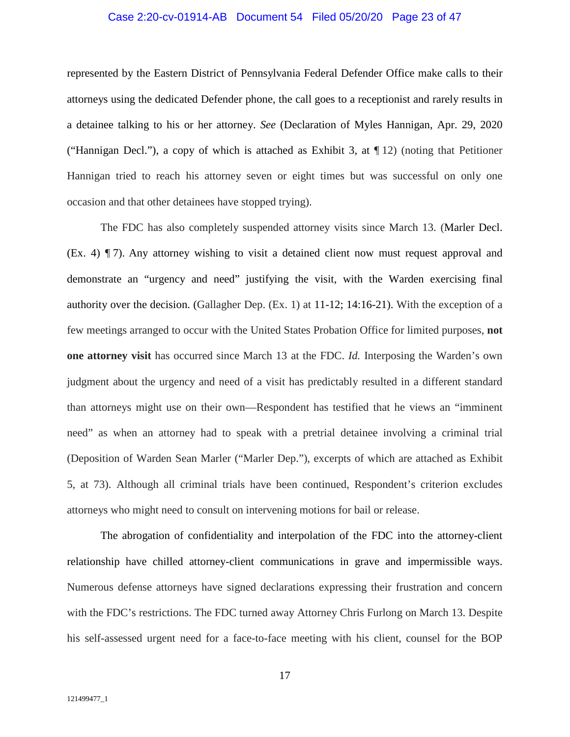#### Case 2:20-cv-01914-AB Document 54 Filed 05/20/20 Page 23 of 47

represented by the Eastern District of Pennsylvania Federal Defender Office make calls to their attorneys using the dedicated Defender phone, the call goes to a receptionist and rarely results in a detainee talking to his or her attorney. *See* (Declaration of Myles Hannigan, Apr. 29, 2020 ("Hannigan Decl."), a copy of which is attached as Exhibit 3, at  $\P$  12) (noting that Petitioner Hannigan tried to reach his attorney seven or eight times but was successful on only one occasion and that other detainees have stopped trying).

The FDC has also completely suspended attorney visits since March 13. (Marler Decl. (Ex. 4) ¶ 7). Any attorney wishing to visit a detained client now must request approval and demonstrate an "urgency and need" justifying the visit, with the Warden exercising final authority over the decision. (Gallagher Dep. (Ex. 1) at 11-12; 14:16-21). With the exception of a few meetings arranged to occur with the United States Probation Office for limited purposes, **not one attorney visit** has occurred since March 13 at the FDC. *Id.* Interposing the Warden's own judgment about the urgency and need of a visit has predictably resulted in a different standard than attorneys might use on their own—Respondent has testified that he views an "imminent need" as when an attorney had to speak with a pretrial detainee involving a criminal trial (Deposition of Warden Sean Marler ("Marler Dep."), excerpts of which are attached as Exhibit 5, at 73). Although all criminal trials have been continued, Respondent's criterion excludes attorneys who might need to consult on intervening motions for bail or release.

The abrogation of confidentiality and interpolation of the FDC into the attorney-client relationship have chilled attorney-client communications in grave and impermissible ways. Numerous defense attorneys have signed declarations expressing their frustration and concern with the FDC's restrictions. The FDC turned away Attorney Chris Furlong on March 13. Despite his self-assessed urgent need for a face-to-face meeting with his client, counsel for the BOP

17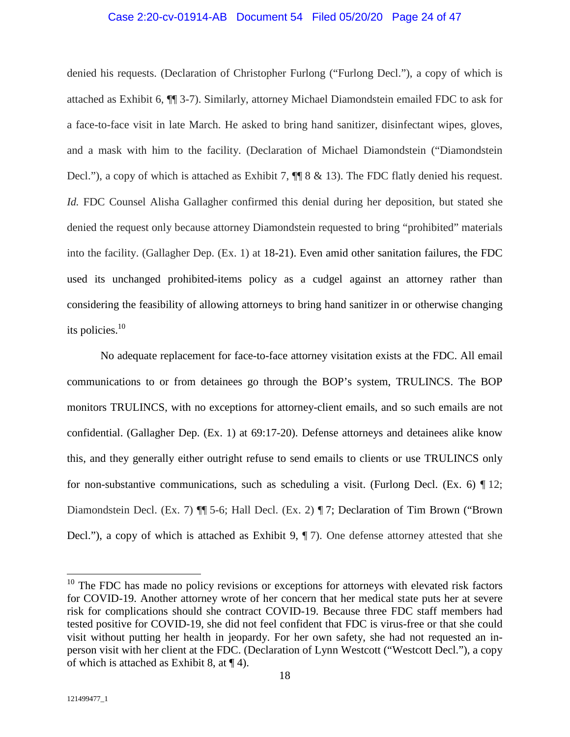#### Case 2:20-cv-01914-AB Document 54 Filed 05/20/20 Page 24 of 47

denied his requests. (Declaration of Christopher Furlong ("Furlong Decl."), a copy of which is attached as Exhibit 6, ¶¶ 3-7). Similarly, attorney Michael Diamondstein emailed FDC to ask for a face-to-face visit in late March. He asked to bring hand sanitizer, disinfectant wipes, gloves, and a mask with him to the facility. (Declaration of Michael Diamondstein ("Diamondstein Decl."), a copy of which is attached as Exhibit 7,  $\P$  8 & 13). The FDC flatly denied his request. *Id.* FDC Counsel Alisha Gallagher confirmed this denial during her deposition, but stated she denied the request only because attorney Diamondstein requested to bring "prohibited" materials into the facility. (Gallagher Dep. (Ex. 1) at 18-21). Even amid other sanitation failures, the FDC used its unchanged prohibited-items policy as a cudgel against an attorney rather than considering the feasibility of allowing attorneys to bring hand sanitizer in or otherwise changing its policies.<sup>10</sup>

No adequate replacement for face-to-face attorney visitation exists at the FDC. All email communications to or from detainees go through the BOP's system, TRULINCS. The BOP monitors TRULINCS, with no exceptions for attorney-client emails, and so such emails are not confidential. (Gallagher Dep. (Ex. 1) at 69:17-20). Defense attorneys and detainees alike know this, and they generally either outright refuse to send emails to clients or use TRULINCS only for non-substantive communications, such as scheduling a visit. (Furlong Decl. (Ex. 6)  $\P$  12; Diamondstein Decl. (Ex. 7) ¶¶ 5-6; Hall Decl. (Ex. 2) ¶ 7; Declaration of Tim Brown ("Brown Decl."), a copy of which is attached as Exhibit 9, ¶ 7). One defense attorney attested that she

<sup>&</sup>lt;sup>10</sup> The FDC has made no policy revisions or exceptions for attorneys with elevated risk factors for COVID-19. Another attorney wrote of her concern that her medical state puts her at severe risk for complications should she contract COVID-19. Because three FDC staff members had tested positive for COVID-19, she did not feel confident that FDC is virus-free or that she could visit without putting her health in jeopardy. For her own safety, she had not requested an inperson visit with her client at the FDC. (Declaration of Lynn Westcott ("Westcott Decl."), a copy of which is attached as Exhibit 8, at  $\P$  4).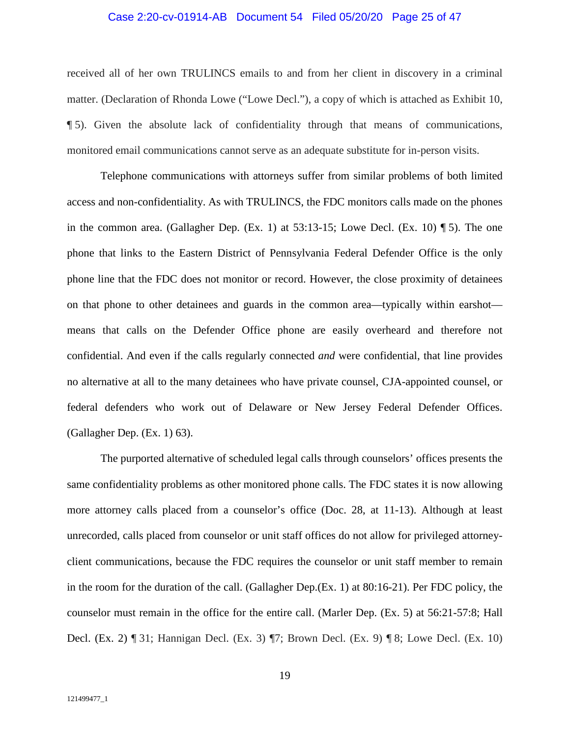#### Case 2:20-cv-01914-AB Document 54 Filed 05/20/20 Page 25 of 47

received all of her own TRULINCS emails to and from her client in discovery in a criminal matter. (Declaration of Rhonda Lowe ("Lowe Decl."), a copy of which is attached as Exhibit 10, ¶ 5). Given the absolute lack of confidentiality through that means of communications, monitored email communications cannot serve as an adequate substitute for in-person visits.

Telephone communications with attorneys suffer from similar problems of both limited access and non-confidentiality. As with TRULINCS, the FDC monitors calls made on the phones in the common area. (Gallagher Dep.  $(Ex. 1)$  at 53:13-15; Lowe Decl.  $(Ex. 10)$   $\parallel$  5). The one phone that links to the Eastern District of Pennsylvania Federal Defender Office is the only phone line that the FDC does not monitor or record. However, the close proximity of detainees on that phone to other detainees and guards in the common area—typically within earshot means that calls on the Defender Office phone are easily overheard and therefore not confidential. And even if the calls regularly connected *and* were confidential, that line provides no alternative at all to the many detainees who have private counsel, CJA-appointed counsel, or federal defenders who work out of Delaware or New Jersey Federal Defender Offices. (Gallagher Dep. (Ex. 1) 63).

The purported alternative of scheduled legal calls through counselors' offices presents the same confidentiality problems as other monitored phone calls. The FDC states it is now allowing more attorney calls placed from a counselor's office (Doc. 28, at 11-13). Although at least unrecorded, calls placed from counselor or unit staff offices do not allow for privileged attorneyclient communications, because the FDC requires the counselor or unit staff member to remain in the room for the duration of the call. (Gallagher Dep.(Ex. 1) at 80:16-21). Per FDC policy, the counselor must remain in the office for the entire call. (Marler Dep. (Ex. 5) at 56:21-57:8; Hall Decl. (Ex. 2) ¶ 31; Hannigan Decl. (Ex. 3) ¶7; Brown Decl. (Ex. 9) ¶ 8; Lowe Decl. (Ex. 10)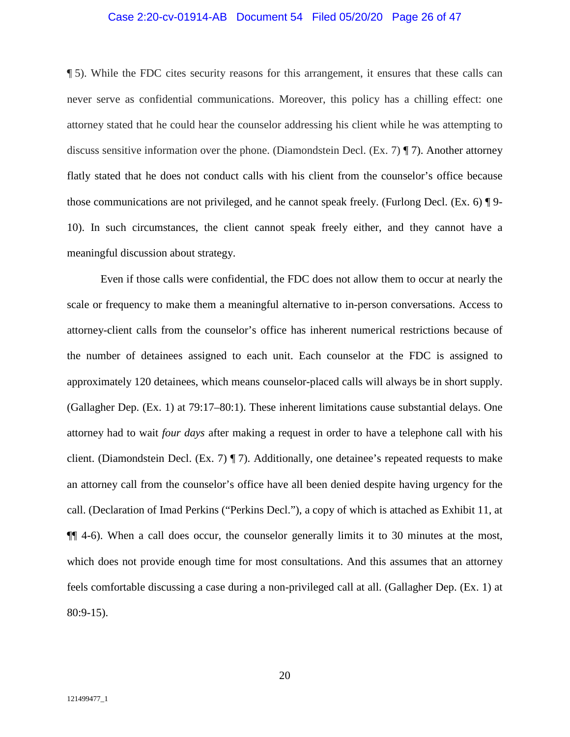#### Case 2:20-cv-01914-AB Document 54 Filed 05/20/20 Page 26 of 47

¶ 5). While the FDC cites security reasons for this arrangement, it ensures that these calls can never serve as confidential communications. Moreover, this policy has a chilling effect: one attorney stated that he could hear the counselor addressing his client while he was attempting to discuss sensitive information over the phone. (Diamondstein Decl. (Ex. 7) ¶ 7). Another attorney flatly stated that he does not conduct calls with his client from the counselor's office because those communications are not privileged, and he cannot speak freely. (Furlong Decl. (Ex. 6) ¶ 9- 10). In such circumstances, the client cannot speak freely either, and they cannot have a meaningful discussion about strategy.

Even if those calls were confidential, the FDC does not allow them to occur at nearly the scale or frequency to make them a meaningful alternative to in-person conversations. Access to attorney-client calls from the counselor's office has inherent numerical restrictions because of the number of detainees assigned to each unit. Each counselor at the FDC is assigned to approximately 120 detainees, which means counselor-placed calls will always be in short supply. (Gallagher Dep. (Ex. 1) at 79:17–80:1). These inherent limitations cause substantial delays. One attorney had to wait *four days* after making a request in order to have a telephone call with his client. (Diamondstein Decl. (Ex. 7) ¶ 7). Additionally, one detainee's repeated requests to make an attorney call from the counselor's office have all been denied despite having urgency for the call. (Declaration of Imad Perkins ("Perkins Decl."), a copy of which is attached as Exhibit 11, at  $\P\P$  4-6). When a call does occur, the counselor generally limits it to 30 minutes at the most, which does not provide enough time for most consultations. And this assumes that an attorney feels comfortable discussing a case during a non-privileged call at all. (Gallagher Dep. (Ex. 1) at 80:9-15).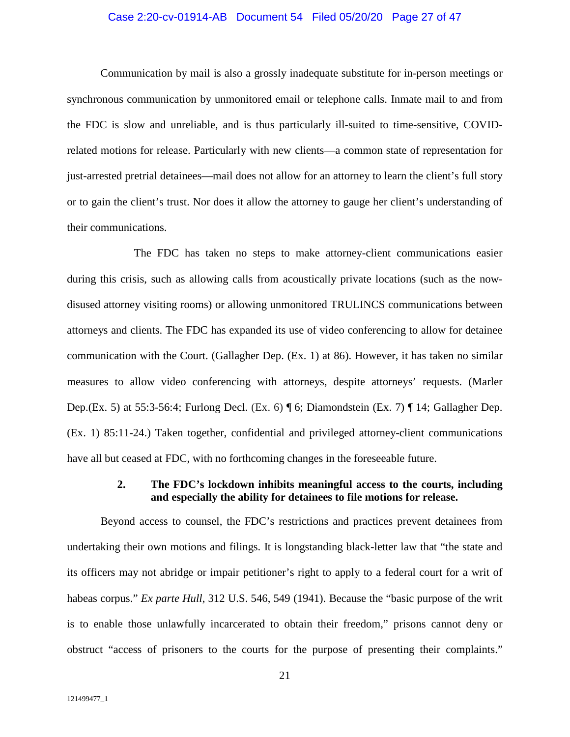#### Case 2:20-cv-01914-AB Document 54 Filed 05/20/20 Page 27 of 47

Communication by mail is also a grossly inadequate substitute for in-person meetings or synchronous communication by unmonitored email or telephone calls. Inmate mail to and from the FDC is slow and unreliable, and is thus particularly ill-suited to time-sensitive, COVIDrelated motions for release. Particularly with new clients—a common state of representation for just-arrested pretrial detainees—mail does not allow for an attorney to learn the client's full story or to gain the client's trust. Nor does it allow the attorney to gauge her client's understanding of their communications.

The FDC has taken no steps to make attorney-client communications easier during this crisis, such as allowing calls from acoustically private locations (such as the nowdisused attorney visiting rooms) or allowing unmonitored TRULINCS communications between attorneys and clients. The FDC has expanded its use of video conferencing to allow for detainee communication with the Court. (Gallagher Dep. (Ex. 1) at 86). However, it has taken no similar measures to allow video conferencing with attorneys, despite attorneys' requests. (Marler Dep.(Ex. 5) at 55:3-56:4; Furlong Decl. (Ex. 6)  $\P$  6; Diamondstein (Ex. 7)  $\P$  14; Gallagher Dep. (Ex. 1) 85:11-24.) Taken together, confidential and privileged attorney-client communications have all but ceased at FDC, with no forthcoming changes in the foreseeable future.

#### **2. The FDC's lockdown inhibits meaningful access to the courts, including and especially the ability for detainees to file motions for release.**

Beyond access to counsel, the FDC's restrictions and practices prevent detainees from undertaking their own motions and filings. It is longstanding black-letter law that "the state and its officers may not abridge or impair petitioner's right to apply to a federal court for a writ of habeas corpus." *Ex parte Hull*, 312 U.S. 546, 549 (1941). Because the "basic purpose of the writ is to enable those unlawfully incarcerated to obtain their freedom," prisons cannot deny or obstruct "access of prisoners to the courts for the purpose of presenting their complaints."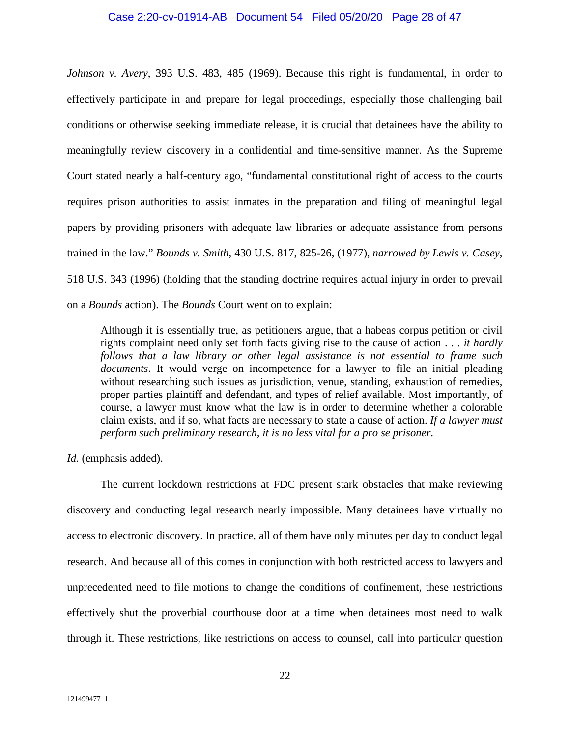#### Case 2:20-cv-01914-AB Document 54 Filed 05/20/20 Page 28 of 47

*Johnson v. Avery*, 393 U.S. 483, 485 (1969). Because this right is fundamental, in order to effectively participate in and prepare for legal proceedings, especially those challenging bail conditions or otherwise seeking immediate release, it is crucial that detainees have the ability to meaningfully review discovery in a confidential and time-sensitive manner. As the Supreme Court stated nearly a half-century ago, "fundamental constitutional right of access to the courts requires prison authorities to assist inmates in the preparation and filing of meaningful legal papers by providing prisoners with adequate law libraries or adequate assistance from persons trained in the law." *Bounds v. Smith*, 430 U.S. 817, 825-26, (1977), *narrowed by Lewis v. Casey*, 518 U.S. 343 (1996) (holding that the standing doctrine requires actual injury in order to prevail on a *Bounds* action). The *Bounds* Court went on to explain:

Although it is essentially true, as petitioners argue, that a habeas corpus petition or civil rights complaint need only set forth facts giving rise to the cause of action . . . *it hardly follows that a law library or other legal assistance is not essential to frame such documents*. It would verge on incompetence for a lawyer to file an initial pleading without researching such issues as jurisdiction, venue, standing, exhaustion of remedies, proper parties plaintiff and defendant, and types of relief available. Most importantly, of course, a lawyer must know what the law is in order to determine whether a colorable claim exists, and if so, what facts are necessary to state a cause of action. *If a lawyer must perform such preliminary research, it is no less vital for a pro se prisoner*.

*Id.* (emphasis added).

The current lockdown restrictions at FDC present stark obstacles that make reviewing discovery and conducting legal research nearly impossible. Many detainees have virtually no access to electronic discovery. In practice, all of them have only minutes per day to conduct legal research. And because all of this comes in conjunction with both restricted access to lawyers and unprecedented need to file motions to change the conditions of confinement, these restrictions effectively shut the proverbial courthouse door at a time when detainees most need to walk through it. These restrictions, like restrictions on access to counsel, call into particular question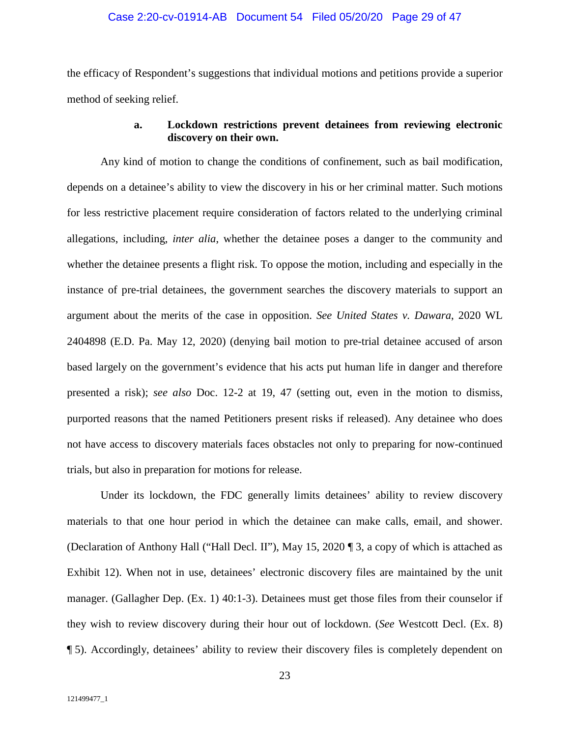#### Case 2:20-cv-01914-AB Document 54 Filed 05/20/20 Page 29 of 47

the efficacy of Respondent's suggestions that individual motions and petitions provide a superior method of seeking relief.

## **a. Lockdown restrictions prevent detainees from reviewing electronic discovery on their own.**

Any kind of motion to change the conditions of confinement, such as bail modification, depends on a detainee's ability to view the discovery in his or her criminal matter. Such motions for less restrictive placement require consideration of factors related to the underlying criminal allegations, including, *inter alia*, whether the detainee poses a danger to the community and whether the detainee presents a flight risk. To oppose the motion, including and especially in the instance of pre-trial detainees, the government searches the discovery materials to support an argument about the merits of the case in opposition. *See United States v. Dawara*, 2020 WL 2404898 (E.D. Pa. May 12, 2020) (denying bail motion to pre-trial detainee accused of arson based largely on the government's evidence that his acts put human life in danger and therefore presented a risk); *see also* Doc. 12-2 at 19, 47 (setting out, even in the motion to dismiss, purported reasons that the named Petitioners present risks if released). Any detainee who does not have access to discovery materials faces obstacles not only to preparing for now-continued trials, but also in preparation for motions for release.

Under its lockdown, the FDC generally limits detainees' ability to review discovery materials to that one hour period in which the detainee can make calls, email, and shower. (Declaration of Anthony Hall ("Hall Decl. II"), May 15, 2020 ¶ 3, a copy of which is attached as Exhibit 12). When not in use, detainees' electronic discovery files are maintained by the unit manager. (Gallagher Dep. (Ex. 1) 40:1-3). Detainees must get those files from their counselor if they wish to review discovery during their hour out of lockdown. (*See* Westcott Decl. (Ex. 8) ¶ 5). Accordingly, detainees' ability to review their discovery files is completely dependent on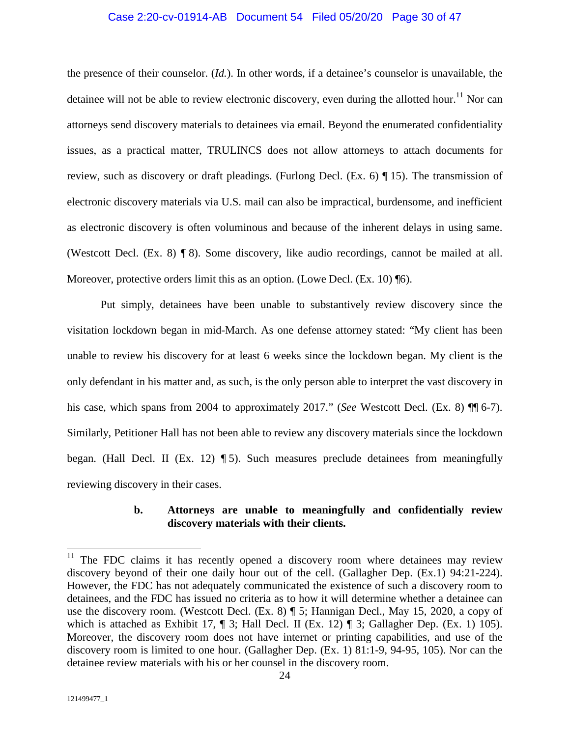#### Case 2:20-cv-01914-AB Document 54 Filed 05/20/20 Page 30 of 47

the presence of their counselor. (*Id.*). In other words, if a detainee's counselor is unavailable, the detainee will not be able to review electronic discovery, even during the allotted hour.<sup>11</sup> Nor can attorneys send discovery materials to detainees via email. Beyond the enumerated confidentiality issues, as a practical matter, TRULINCS does not allow attorneys to attach documents for review, such as discovery or draft pleadings. (Furlong Decl. (Ex. 6) ¶ 15). The transmission of electronic discovery materials via U.S. mail can also be impractical, burdensome, and inefficient as electronic discovery is often voluminous and because of the inherent delays in using same. (Westcott Decl. (Ex. 8) ¶ 8). Some discovery, like audio recordings, cannot be mailed at all. Moreover, protective orders limit this as an option. (Lowe Decl. (Ex. 10) [6).

Put simply, detainees have been unable to substantively review discovery since the visitation lockdown began in mid-March. As one defense attorney stated: "My client has been unable to review his discovery for at least 6 weeks since the lockdown began. My client is the only defendant in his matter and, as such, is the only person able to interpret the vast discovery in his case, which spans from 2004 to approximately 2017." (*See* Westcott Decl. (Ex. 8) ¶ 6-7). Similarly, Petitioner Hall has not been able to review any discovery materials since the lockdown began. (Hall Decl. II (Ex. 12) ¶ 5). Such measures preclude detainees from meaningfully reviewing discovery in their cases.

## **b. Attorneys are unable to meaningfully and confidentially review discovery materials with their clients.**

<sup>&</sup>lt;sup>11</sup> The FDC claims it has recently opened a discovery room where detainees may review discovery beyond of their one daily hour out of the cell. (Gallagher Dep. (Ex.1) 94:21-224). However, the FDC has not adequately communicated the existence of such a discovery room to detainees, and the FDC has issued no criteria as to how it will determine whether a detainee can use the discovery room. (Westcott Decl. (Ex. 8) ¶ 5; Hannigan Decl., May 15, 2020, a copy of which is attached as Exhibit 17, ¶ 3; Hall Decl. II (Ex. 12) ¶ 3; Gallagher Dep. (Ex. 1) 105). Moreover, the discovery room does not have internet or printing capabilities, and use of the discovery room is limited to one hour. (Gallagher Dep. (Ex. 1) 81:1-9, 94-95, 105). Nor can the detainee review materials with his or her counsel in the discovery room.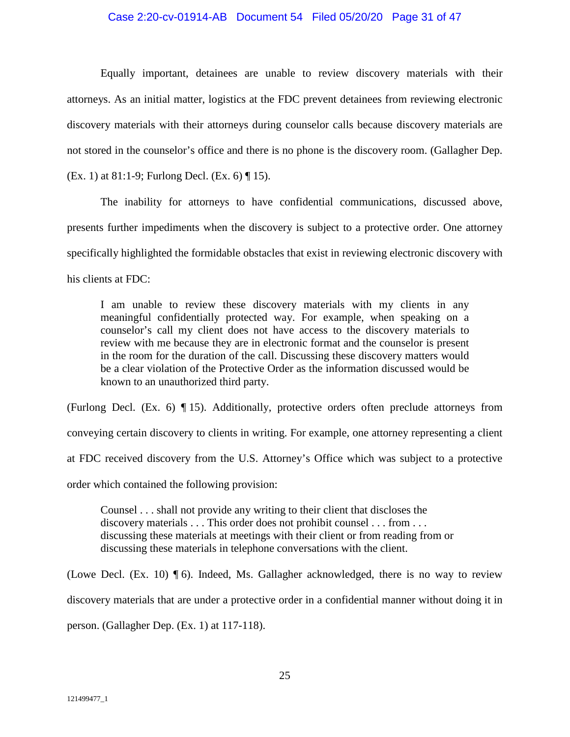#### Case 2:20-cv-01914-AB Document 54 Filed 05/20/20 Page 31 of 47

Equally important, detainees are unable to review discovery materials with their attorneys. As an initial matter, logistics at the FDC prevent detainees from reviewing electronic discovery materials with their attorneys during counselor calls because discovery materials are not stored in the counselor's office and there is no phone is the discovery room. (Gallagher Dep. (Ex. 1) at 81:1-9; Furlong Decl. (Ex. 6) ¶ 15).

The inability for attorneys to have confidential communications, discussed above, presents further impediments when the discovery is subject to a protective order. One attorney specifically highlighted the formidable obstacles that exist in reviewing electronic discovery with his clients at FDC:

I am unable to review these discovery materials with my clients in any meaningful confidentially protected way. For example, when speaking on a counselor's call my client does not have access to the discovery materials to review with me because they are in electronic format and the counselor is present in the room for the duration of the call. Discussing these discovery matters would be a clear violation of the Protective Order as the information discussed would be known to an unauthorized third party.

(Furlong Decl. (Ex. 6) ¶ 15). Additionally, protective orders often preclude attorneys from conveying certain discovery to clients in writing. For example, one attorney representing a client at FDC received discovery from the U.S. Attorney's Office which was subject to a protective order which contained the following provision:

Counsel . . . shall not provide any writing to their client that discloses the discovery materials . . . This order does not prohibit counsel . . . from . . . discussing these materials at meetings with their client or from reading from or discussing these materials in telephone conversations with the client.

(Lowe Decl. (Ex. 10)  $\P$  6). Indeed, Ms. Gallagher acknowledged, there is no way to review discovery materials that are under a protective order in a confidential manner without doing it in person. (Gallagher Dep. (Ex. 1) at 117-118).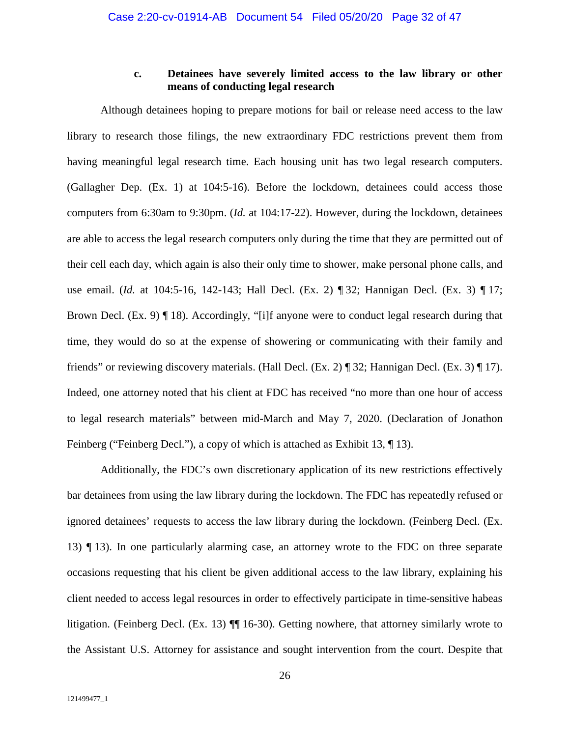## **c. Detainees have severely limited access to the law library or other means of conducting legal research**

Although detainees hoping to prepare motions for bail or release need access to the law library to research those filings, the new extraordinary FDC restrictions prevent them from having meaningful legal research time. Each housing unit has two legal research computers. (Gallagher Dep. (Ex. 1) at 104:5-16). Before the lockdown, detainees could access those computers from 6:30am to 9:30pm. (*Id.* at 104:17-22). However, during the lockdown, detainees are able to access the legal research computers only during the time that they are permitted out of their cell each day, which again is also their only time to shower, make personal phone calls, and use email. (*Id.* at 104:5-16, 142-143; Hall Decl. (Ex. 2) ¶ 32; Hannigan Decl. (Ex. 3) ¶ 17; Brown Decl. (Ex. 9) ¶ 18). Accordingly, "[i]f anyone were to conduct legal research during that time, they would do so at the expense of showering or communicating with their family and friends" or reviewing discovery materials. (Hall Decl. (Ex. 2)  $\parallel$  32; Hannigan Decl. (Ex. 3)  $\parallel$  17). Indeed, one attorney noted that his client at FDC has received "no more than one hour of access to legal research materials" between mid-March and May 7, 2020. (Declaration of Jonathon Feinberg ("Feinberg Decl."), a copy of which is attached as Exhibit 13,  $\P$  13).

Additionally, the FDC's own discretionary application of its new restrictions effectively bar detainees from using the law library during the lockdown. The FDC has repeatedly refused or ignored detainees' requests to access the law library during the lockdown. (Feinberg Decl. (Ex. 13) ¶ 13). In one particularly alarming case, an attorney wrote to the FDC on three separate occasions requesting that his client be given additional access to the law library, explaining his client needed to access legal resources in order to effectively participate in time-sensitive habeas litigation. (Feinberg Decl. (Ex. 13) ¶¶ 16-30). Getting nowhere, that attorney similarly wrote to the Assistant U.S. Attorney for assistance and sought intervention from the court. Despite that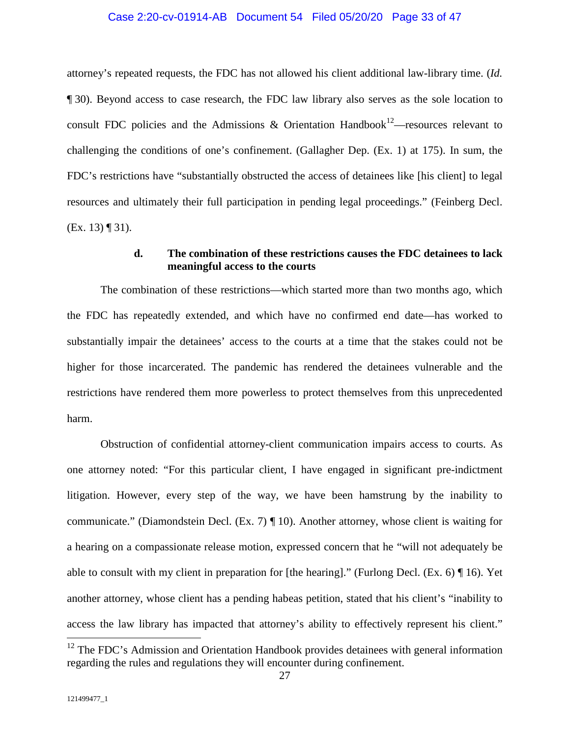#### Case 2:20-cv-01914-AB Document 54 Filed 05/20/20 Page 33 of 47

attorney's repeated requests, the FDC has not allowed his client additional law-library time. (*Id.* ¶ 30). Beyond access to case research, the FDC law library also serves as the sole location to consult FDC policies and the Admissions & Orientation Handbook<sup>12</sup>—resources relevant to challenging the conditions of one's confinement. (Gallagher Dep. (Ex. 1) at 175). In sum, the FDC's restrictions have "substantially obstructed the access of detainees like [his client] to legal resources and ultimately their full participation in pending legal proceedings." (Feinberg Decl. (Ex. 13) ¶ 31).

## **d. The combination of these restrictions causes the FDC detainees to lack meaningful access to the courts**

The combination of these restrictions—which started more than two months ago, which the FDC has repeatedly extended, and which have no confirmed end date—has worked to substantially impair the detainees' access to the courts at a time that the stakes could not be higher for those incarcerated. The pandemic has rendered the detainees vulnerable and the restrictions have rendered them more powerless to protect themselves from this unprecedented harm.

Obstruction of confidential attorney-client communication impairs access to courts. As one attorney noted: "For this particular client, I have engaged in significant pre-indictment litigation. However, every step of the way, we have been hamstrung by the inability to communicate." (Diamondstein Decl. (Ex. 7) ¶ 10). Another attorney, whose client is waiting for a hearing on a compassionate release motion, expressed concern that he "will not adequately be able to consult with my client in preparation for [the hearing]." (Furlong Decl. (Ex. 6) ¶ 16). Yet another attorney, whose client has a pending habeas petition, stated that his client's "inability to access the law library has impacted that attorney's ability to effectively represent his client."

 $12$  The FDC's Admission and Orientation Handbook provides detainees with general information regarding the rules and regulations they will encounter during confinement.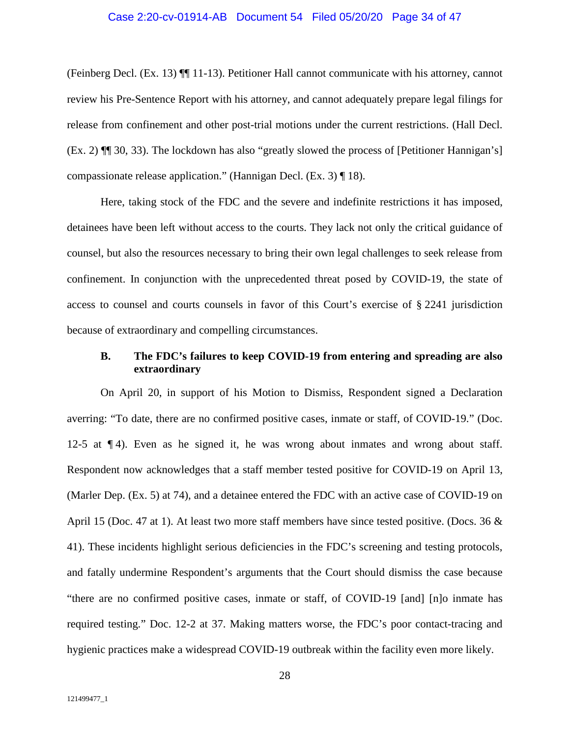#### Case 2:20-cv-01914-AB Document 54 Filed 05/20/20 Page 34 of 47

(Feinberg Decl. (Ex. 13) ¶¶ 11-13). Petitioner Hall cannot communicate with his attorney, cannot review his Pre-Sentence Report with his attorney, and cannot adequately prepare legal filings for release from confinement and other post-trial motions under the current restrictions. (Hall Decl. (Ex. 2) ¶¶ 30, 33). The lockdown has also "greatly slowed the process of [Petitioner Hannigan's] compassionate release application." (Hannigan Decl. (Ex. 3) ¶ 18).

Here, taking stock of the FDC and the severe and indefinite restrictions it has imposed, detainees have been left without access to the courts. They lack not only the critical guidance of counsel, but also the resources necessary to bring their own legal challenges to seek release from confinement. In conjunction with the unprecedented threat posed by COVID-19, the state of access to counsel and courts counsels in favor of this Court's exercise of § 2241 jurisdiction because of extraordinary and compelling circumstances.

## **B. The FDC's failures to keep COVID-19 from entering and spreading are also extraordinary**

On April 20, in support of his Motion to Dismiss, Respondent signed a Declaration averring: "To date, there are no confirmed positive cases, inmate or staff, of COVID-19." (Doc. 12-5 at ¶ 4). Even as he signed it, he was wrong about inmates and wrong about staff. Respondent now acknowledges that a staff member tested positive for COVID-19 on April 13, (Marler Dep. (Ex. 5) at 74), and a detainee entered the FDC with an active case of COVID-19 on April 15 (Doc. 47 at 1). At least two more staff members have since tested positive. (Docs. 36 & 41). These incidents highlight serious deficiencies in the FDC's screening and testing protocols, and fatally undermine Respondent's arguments that the Court should dismiss the case because "there are no confirmed positive cases, inmate or staff, of COVID-19 [and] [n]o inmate has required testing." Doc. 12-2 at 37. Making matters worse, the FDC's poor contact-tracing and hygienic practices make a widespread COVID-19 outbreak within the facility even more likely.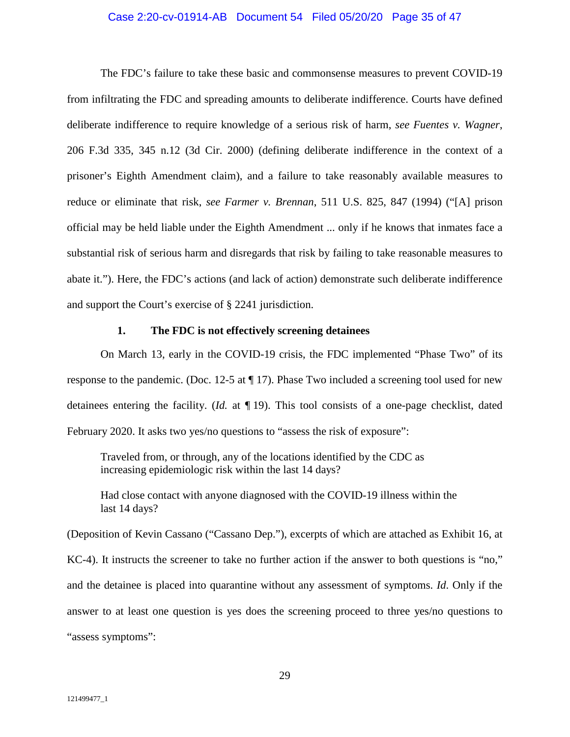#### Case 2:20-cv-01914-AB Document 54 Filed 05/20/20 Page 35 of 47

The FDC's failure to take these basic and commonsense measures to prevent COVID-19 from infiltrating the FDC and spreading amounts to deliberate indifference. Courts have defined deliberate indifference to require knowledge of a serious risk of harm, *see Fuentes v. Wagner*, 206 F.3d 335, 345 n.12 (3d Cir. 2000) (defining deliberate indifference in the context of a prisoner's Eighth Amendment claim), and a failure to take reasonably available measures to reduce or eliminate that risk, *see Farmer v. Brennan*, 511 U.S. 825, 847 (1994) ("[A] prison official may be held liable under the Eighth Amendment ... only if he knows that inmates face a substantial risk of serious harm and disregards that risk by failing to take reasonable measures to abate it."). Here, the FDC's actions (and lack of action) demonstrate such deliberate indifference and support the Court's exercise of § 2241 jurisdiction.

#### **1. The FDC is not effectively screening detainees**

On March 13, early in the COVID-19 crisis, the FDC implemented "Phase Two" of its response to the pandemic. (Doc. 12-5 at ¶ 17). Phase Two included a screening tool used for new detainees entering the facility. (*Id.* at ¶ 19). This tool consists of a one-page checklist, dated February 2020. It asks two yes/no questions to "assess the risk of exposure":

Traveled from, or through, any of the locations identified by the CDC as increasing epidemiologic risk within the last 14 days?

Had close contact with anyone diagnosed with the COVID-19 illness within the last 14 days?

(Deposition of Kevin Cassano ("Cassano Dep."), excerpts of which are attached as Exhibit 16, at KC-4). It instructs the screener to take no further action if the answer to both questions is "no," and the detainee is placed into quarantine without any assessment of symptoms. *Id*. Only if the answer to at least one question is yes does the screening proceed to three yes/no questions to "assess symptoms":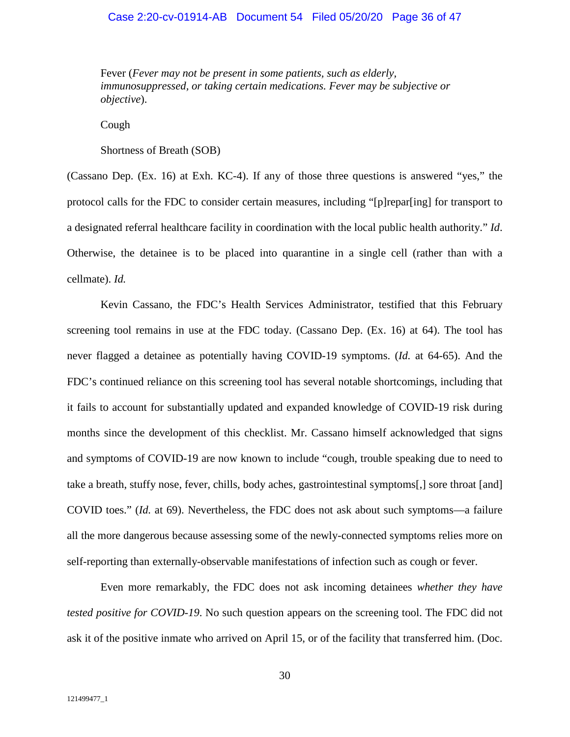#### Case 2:20-cv-01914-AB Document 54 Filed 05/20/20 Page 36 of 47

Fever (*Fever may not be present in some patients, such as elderly, immunosuppressed, or taking certain medications. Fever may be subjective or objective*).

Cough

Shortness of Breath (SOB)

(Cassano Dep. (Ex. 16) at Exh. KC-4). If any of those three questions is answered "yes," the protocol calls for the FDC to consider certain measures, including "[p]repar[ing] for transport to a designated referral healthcare facility in coordination with the local public health authority." *Id*. Otherwise, the detainee is to be placed into quarantine in a single cell (rather than with a cellmate). *Id.*

Kevin Cassano, the FDC's Health Services Administrator, testified that this February screening tool remains in use at the FDC today. (Cassano Dep. (Ex. 16) at 64). The tool has never flagged a detainee as potentially having COVID-19 symptoms. (*Id.* at 64-65). And the FDC's continued reliance on this screening tool has several notable shortcomings, including that it fails to account for substantially updated and expanded knowledge of COVID-19 risk during months since the development of this checklist. Mr. Cassano himself acknowledged that signs and symptoms of COVID-19 are now known to include "cough, trouble speaking due to need to take a breath, stuffy nose, fever, chills, body aches, gastrointestinal symptoms[,] sore throat [and] COVID toes." (*Id.* at 69). Nevertheless, the FDC does not ask about such symptoms—a failure all the more dangerous because assessing some of the newly-connected symptoms relies more on self-reporting than externally-observable manifestations of infection such as cough or fever.

Even more remarkably, the FDC does not ask incoming detainees *whether they have tested positive for COVID-19*. No such question appears on the screening tool. The FDC did not ask it of the positive inmate who arrived on April 15, or of the facility that transferred him. (Doc.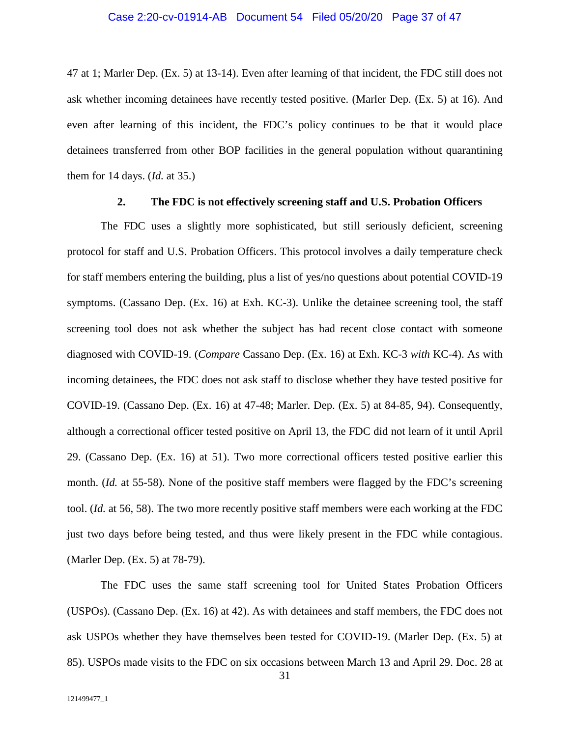47 at 1; Marler Dep. (Ex. 5) at 13-14). Even after learning of that incident, the FDC still does not ask whether incoming detainees have recently tested positive. (Marler Dep. (Ex. 5) at 16). And even after learning of this incident, the FDC's policy continues to be that it would place detainees transferred from other BOP facilities in the general population without quarantining them for 14 days. (*Id.* at 35.)

## **2. The FDC is not effectively screening staff and U.S. Probation Officers**

The FDC uses a slightly more sophisticated, but still seriously deficient, screening protocol for staff and U.S. Probation Officers. This protocol involves a daily temperature check for staff members entering the building, plus a list of yes/no questions about potential COVID-19 symptoms. (Cassano Dep. (Ex. 16) at Exh. KC-3). Unlike the detainee screening tool, the staff screening tool does not ask whether the subject has had recent close contact with someone diagnosed with COVID-19. (*Compare* Cassano Dep. (Ex. 16) at Exh. KC-3 *with* KC-4). As with incoming detainees, the FDC does not ask staff to disclose whether they have tested positive for COVID-19. (Cassano Dep. (Ex. 16) at 47-48; Marler. Dep. (Ex. 5) at 84-85, 94). Consequently, although a correctional officer tested positive on April 13, the FDC did not learn of it until April 29. (Cassano Dep. (Ex. 16) at 51). Two more correctional officers tested positive earlier this month. *(Id.* at 55-58). None of the positive staff members were flagged by the FDC's screening tool. (*Id.* at 56, 58). The two more recently positive staff members were each working at the FDC just two days before being tested, and thus were likely present in the FDC while contagious. (Marler Dep. (Ex. 5) at 78-79).

The FDC uses the same staff screening tool for United States Probation Officers (USPOs). (Cassano Dep. (Ex. 16) at 42). As with detainees and staff members, the FDC does not ask USPOs whether they have themselves been tested for COVID-19. (Marler Dep. (Ex. 5) at 85). USPOs made visits to the FDC on six occasions between March 13 and April 29. Doc. 28 at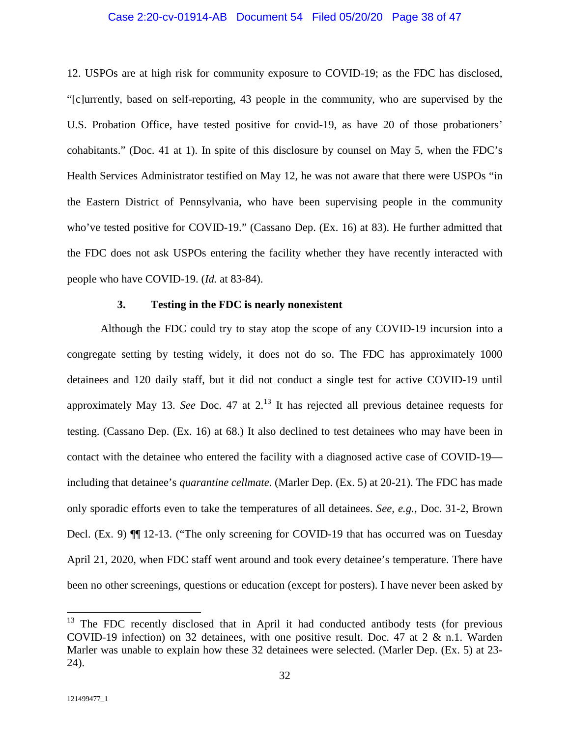#### Case 2:20-cv-01914-AB Document 54 Filed 05/20/20 Page 38 of 47

12. USPOs are at high risk for community exposure to COVID-19; as the FDC has disclosed, "[c]urrently, based on self-reporting, 43 people in the community, who are supervised by the U.S. Probation Office, have tested positive for covid-19, as have 20 of those probationers' cohabitants." (Doc. 41 at 1). In spite of this disclosure by counsel on May 5, when the FDC's Health Services Administrator testified on May 12, he was not aware that there were USPOs "in the Eastern District of Pennsylvania, who have been supervising people in the community who've tested positive for COVID-19." (Cassano Dep. (Ex. 16) at 83). He further admitted that the FDC does not ask USPOs entering the facility whether they have recently interacted with people who have COVID-19. (*Id.* at 83-84).

## **3. Testing in the FDC is nearly nonexistent**

Although the FDC could try to stay atop the scope of any COVID-19 incursion into a congregate setting by testing widely, it does not do so. The FDC has approximately 1000 detainees and 120 daily staff, but it did not conduct a single test for active COVID-19 until approximately May 13. *See* Doc. 47 at 2<sup>13</sup> It has rejected all previous detainee requests for testing. (Cassano Dep. (Ex. 16) at 68.) It also declined to test detainees who may have been in contact with the detainee who entered the facility with a diagnosed active case of COVID-19 including that detainee's *quarantine cellmate*. (Marler Dep. (Ex. 5) at 20-21). The FDC has made only sporadic efforts even to take the temperatures of all detainees. *See, e.g.*, Doc. 31-2, Brown Decl. (Ex. 9) ¶¶ 12-13. ("The only screening for COVID-19 that has occurred was on Tuesday April 21, 2020, when FDC staff went around and took every detainee's temperature. There have been no other screenings, questions or education (except for posters). I have never been asked by

32

<sup>&</sup>lt;sup>13</sup> The FDC recently disclosed that in April it had conducted antibody tests (for previous COVID-19 infection) on 32 detainees, with one positive result. Doc. 47 at 2  $\&$  n.1. Warden Marler was unable to explain how these 32 detainees were selected. (Marler Dep. (Ex. 5) at 23- 24).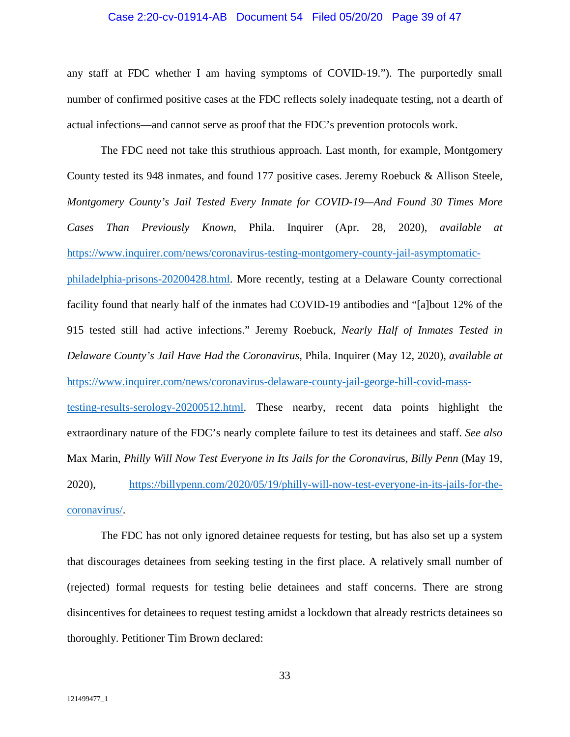#### Case 2:20-cv-01914-AB Document 54 Filed 05/20/20 Page 39 of 47

any staff at FDC whether I am having symptoms of COVID-19."). The purportedly small number of confirmed positive cases at the FDC reflects solely inadequate testing, not a dearth of actual infections—and cannot serve as proof that the FDC's prevention protocols work.

The FDC need not take this struthious approach. Last month, for example, Montgomery County tested its 948 inmates, and found 177 positive cases. Jeremy Roebuck & Allison Steele, *Montgomery County's Jail Tested Every Inmate for COVID-19—And Found 30 Times More Cases Than Previously Known*, Phila. Inquirer (Apr. 28, 2020), *available at* https://www.inquirer.com/news/coronavirus-testing-montgomery-county-jail-asymptomaticphiladelphia-prisons-20200428.html. More recently, testing at a Delaware County correctional facility found that nearly half of the inmates had COVID-19 antibodies and "[a]bout 12% of the 915 tested still had active infections." Jeremy Roebuck, *Nearly Half of Inmates Tested in Delaware County's Jail Have Had the Coronavirus*, Phila. Inquirer (May 12, 2020), *available at* https://www.inquirer.com/news/coronavirus-delaware-county-jail-george-hill-covid-masstesting-results-serology-20200512.html. These nearby, recent data points highlight the extraordinary nature of the FDC's nearly complete failure to test its detainees and staff. *See also* Max Marin, *Philly Will Now Test Everyone in Its Jails for the Coronaviru*s, *Billy Penn* (May 19, 2020), https://billypenn.com/2020/05/19/philly-will-now-test-everyone-in-its-jails-for-the-

coronavirus/.

The FDC has not only ignored detainee requests for testing, but has also set up a system that discourages detainees from seeking testing in the first place. A relatively small number of (rejected) formal requests for testing belie detainees and staff concerns. There are strong disincentives for detainees to request testing amidst a lockdown that already restricts detainees so thoroughly. Petitioner Tim Brown declared: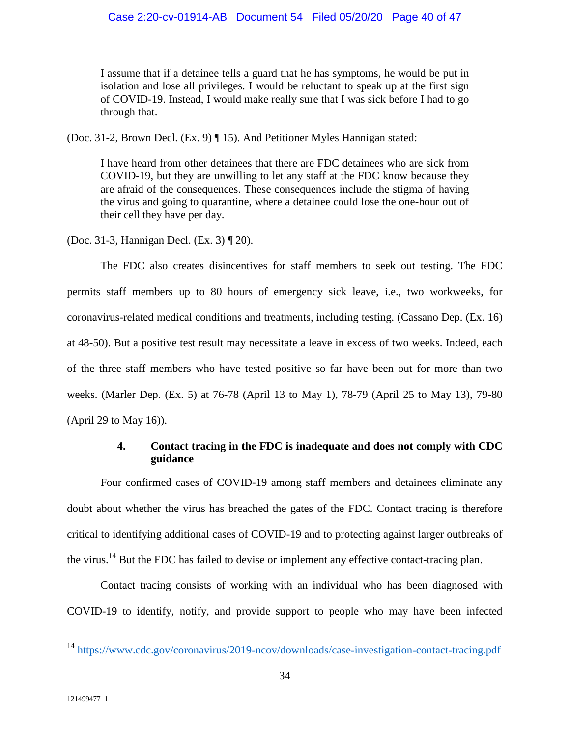I assume that if a detainee tells a guard that he has symptoms, he would be put in isolation and lose all privileges. I would be reluctant to speak up at the first sign of COVID-19. Instead, I would make really sure that I was sick before I had to go through that.

(Doc. 31-2, Brown Decl. (Ex. 9) ¶ 15). And Petitioner Myles Hannigan stated:

I have heard from other detainees that there are FDC detainees who are sick from COVID-19, but they are unwilling to let any staff at the FDC know because they are afraid of the consequences. These consequences include the stigma of having the virus and going to quarantine, where a detainee could lose the one-hour out of their cell they have per day.

(Doc. 31-3, Hannigan Decl. (Ex. 3) ¶ 20).

The FDC also creates disincentives for staff members to seek out testing. The FDC permits staff members up to 80 hours of emergency sick leave, i.e., two workweeks, for coronavirus-related medical conditions and treatments, including testing. (Cassano Dep. (Ex. 16) at 48-50). But a positive test result may necessitate a leave in excess of two weeks. Indeed, each of the three staff members who have tested positive so far have been out for more than two weeks. (Marler Dep. (Ex. 5) at 76-78 (April 13 to May 1), 78-79 (April 25 to May 13), 79-80 (April 29 to May 16)).

## **4. Contact tracing in the FDC is inadequate and does not comply with CDC guidance**

Four confirmed cases of COVID-19 among staff members and detainees eliminate any doubt about whether the virus has breached the gates of the FDC. Contact tracing is therefore critical to identifying additional cases of COVID-19 and to protecting against larger outbreaks of the virus.<sup>14</sup> But the FDC has failed to devise or implement any effective contact-tracing plan.

Contact tracing consists of working with an individual who has been diagnosed with COVID-19 to identify, notify, and provide support to people who may have been infected

<sup>14</sup> https://www.cdc.gov/coronavirus/2019-ncov/downloads/case-investigation-contact-tracing.pdf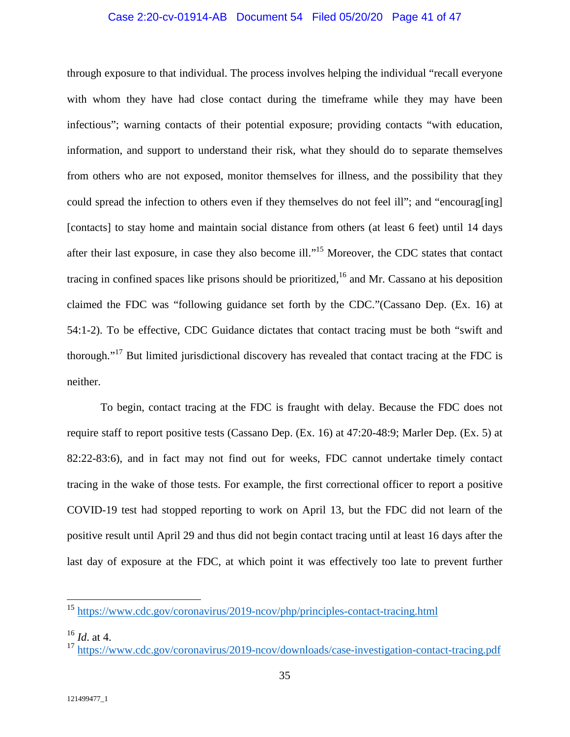## Case 2:20-cv-01914-AB Document 54 Filed 05/20/20 Page 41 of 47

through exposure to that individual. The process involves helping the individual "recall everyone with whom they have had close contact during the timeframe while they may have been infectious"; warning contacts of their potential exposure; providing contacts "with education, information, and support to understand their risk, what they should do to separate themselves from others who are not exposed, monitor themselves for illness, and the possibility that they could spread the infection to others even if they themselves do not feel ill"; and "encourag[ing] [contacts] to stay home and maintain social distance from others (at least 6 feet) until 14 days after their last exposure, in case they also become ill."<sup>15</sup> Moreover, the CDC states that contact tracing in confined spaces like prisons should be prioritized,<sup>16</sup> and Mr. Cassano at his deposition claimed the FDC was "following guidance set forth by the CDC."(Cassano Dep. (Ex. 16) at 54:1-2). To be effective, CDC Guidance dictates that contact tracing must be both "swift and thorough."<sup>17</sup> But limited jurisdictional discovery has revealed that contact tracing at the FDC is neither.

To begin, contact tracing at the FDC is fraught with delay. Because the FDC does not require staff to report positive tests (Cassano Dep. (Ex. 16) at 47:20-48:9; Marler Dep. (Ex. 5) at 82:22-83:6), and in fact may not find out for weeks, FDC cannot undertake timely contact tracing in the wake of those tests. For example, the first correctional officer to report a positive COVID-19 test had stopped reporting to work on April 13, but the FDC did not learn of the positive result until April 29 and thus did not begin contact tracing until at least 16 days after the last day of exposure at the FDC, at which point it was effectively too late to prevent further

<sup>15</sup> https://www.cdc.gov/coronavirus/2019-ncov/php/principles-contact-tracing.html

<sup>16</sup> *Id*. at 4.

<sup>&</sup>lt;sup>17</sup> https://www.cdc.gov/coronavirus/2019-ncov/downloads/case-investigation-contact-tracing.pdf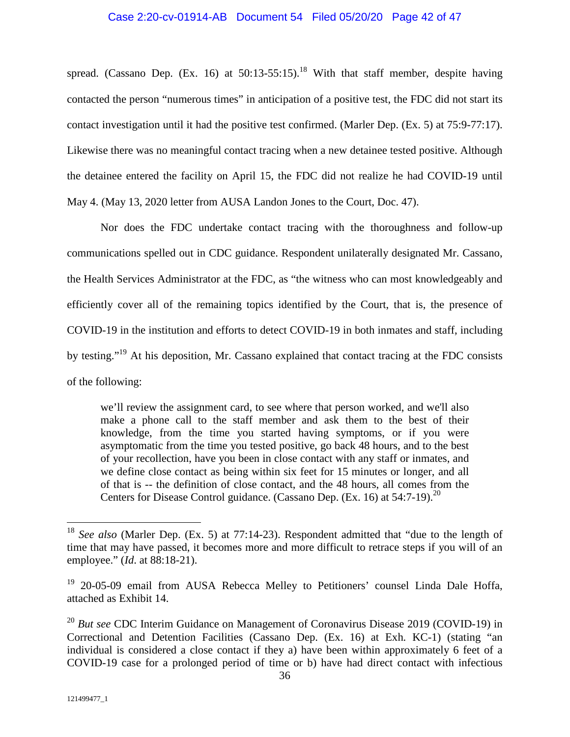spread. (Cassano Dep. (Ex. 16) at  $50:13-55:15$ .<sup>18</sup> With that staff member, despite having contacted the person "numerous times" in anticipation of a positive test, the FDC did not start its contact investigation until it had the positive test confirmed. (Marler Dep. (Ex. 5) at 75:9-77:17). Likewise there was no meaningful contact tracing when a new detainee tested positive. Although the detainee entered the facility on April 15, the FDC did not realize he had COVID-19 until May 4. (May 13, 2020 letter from AUSA Landon Jones to the Court, Doc. 47).

Nor does the FDC undertake contact tracing with the thoroughness and follow-up communications spelled out in CDC guidance. Respondent unilaterally designated Mr. Cassano, the Health Services Administrator at the FDC, as "the witness who can most knowledgeably and efficiently cover all of the remaining topics identified by the Court, that is, the presence of COVID-19 in the institution and efforts to detect COVID-19 in both inmates and staff, including by testing."<sup>19</sup> At his deposition, Mr. Cassano explained that contact tracing at the FDC consists of the following:

we'll review the assignment card, to see where that person worked, and we'll also make a phone call to the staff member and ask them to the best of their knowledge, from the time you started having symptoms, or if you were asymptomatic from the time you tested positive, go back 48 hours, and to the best of your recollection, have you been in close contact with any staff or inmates, and we define close contact as being within six feet for 15 minutes or longer, and all of that is -- the definition of close contact, and the 48 hours, all comes from the Centers for Disease Control guidance. (Cassano Dep.  $(Ex. 16)$  at  $54:7-19$ ).<sup>20</sup>

<sup>18</sup> *See also* (Marler Dep. (Ex. 5) at 77:14-23). Respondent admitted that "due to the length of time that may have passed, it becomes more and more difficult to retrace steps if you will of an employee." (*Id*. at 88:18-21).

<sup>&</sup>lt;sup>19</sup> 20-05-09 email from AUSA Rebecca Melley to Petitioners' counsel Linda Dale Hoffa, attached as Exhibit 14.

<sup>&</sup>lt;sup>20</sup> But see CDC Interim Guidance on Management of Coronavirus Disease 2019 (COVID-19) in Correctional and Detention Facilities (Cassano Dep. (Ex. 16) at Exh. KC-1) (stating "an individual is considered a close contact if they a) have been within approximately 6 feet of a COVID-19 case for a prolonged period of time or b) have had direct contact with infectious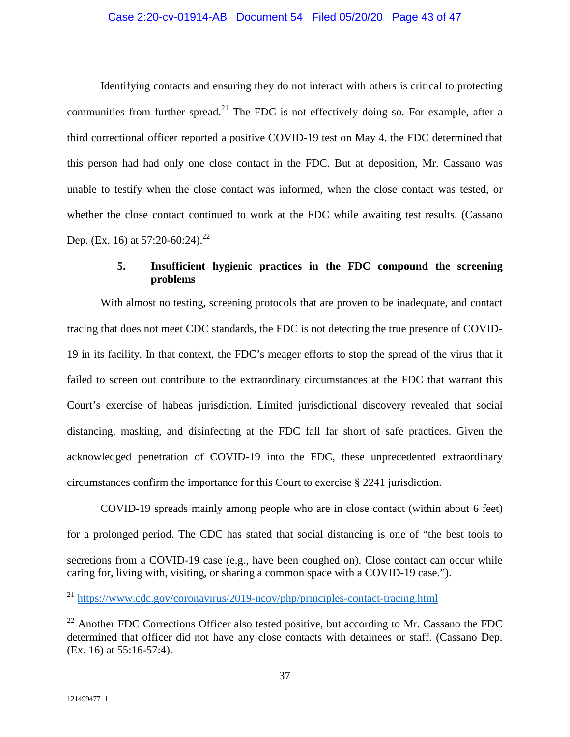#### Case 2:20-cv-01914-AB Document 54 Filed 05/20/20 Page 43 of 47

Identifying contacts and ensuring they do not interact with others is critical to protecting communities from further spread.<sup>21</sup> The FDC is not effectively doing so. For example, after a third correctional officer reported a positive COVID-19 test on May 4, the FDC determined that this person had had only one close contact in the FDC. But at deposition, Mr. Cassano was unable to testify when the close contact was informed, when the close contact was tested, or whether the close contact continued to work at the FDC while awaiting test results. (Cassano Dep. (Ex. 16) at  $57:20-60:24$ .<sup>22</sup>

## **5. Insufficient hygienic practices in the FDC compound the screening problems**

With almost no testing, screening protocols that are proven to be inadequate, and contact tracing that does not meet CDC standards, the FDC is not detecting the true presence of COVID-19 in its facility. In that context, the FDC's meager efforts to stop the spread of the virus that it failed to screen out contribute to the extraordinary circumstances at the FDC that warrant this Court's exercise of habeas jurisdiction. Limited jurisdictional discovery revealed that social distancing, masking, and disinfecting at the FDC fall far short of safe practices. Given the acknowledged penetration of COVID-19 into the FDC, these unprecedented extraordinary circumstances confirm the importance for this Court to exercise § 2241 jurisdiction.

COVID-19 spreads mainly among people who are in close contact (within about 6 feet) for a prolonged period. The CDC has stated that social distancing is one of "the best tools to

secretions from a COVID-19 case (e.g., have been coughed on). Close contact can occur while caring for, living with, visiting, or sharing a common space with a COVID-19 case.").

<sup>21</sup> https://www.cdc.gov/coronavirus/2019-ncov/php/principles-contact-tracing.html

 $22$  Another FDC Corrections Officer also tested positive, but according to Mr. Cassano the FDC determined that officer did not have any close contacts with detainees or staff. (Cassano Dep. (Ex. 16) at 55:16-57:4).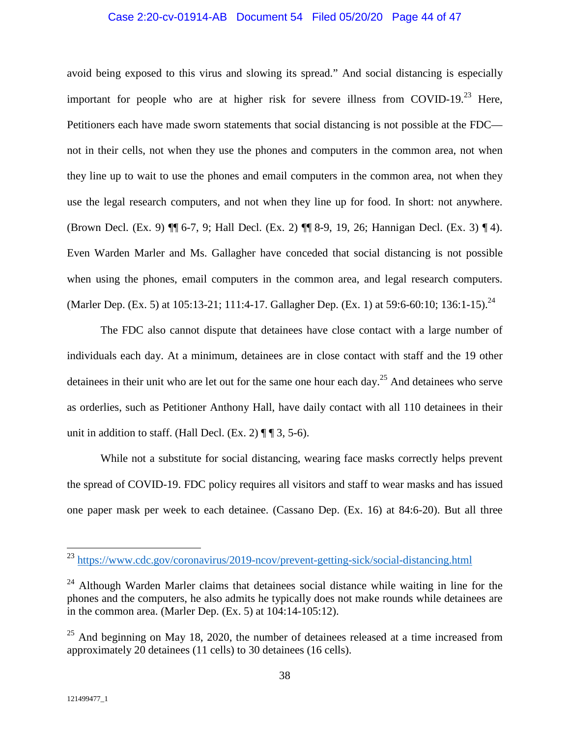#### Case 2:20-cv-01914-AB Document 54 Filed 05/20/20 Page 44 of 47

avoid being exposed to this virus and slowing its spread." And social distancing is especially important for people who are at higher risk for severe illness from COVID-19.<sup>23</sup> Here, Petitioners each have made sworn statements that social distancing is not possible at the FDC not in their cells, not when they use the phones and computers in the common area, not when they line up to wait to use the phones and email computers in the common area, not when they use the legal research computers, and not when they line up for food. In short: not anywhere. (Brown Decl. (Ex. 9) ¶¶ 6-7, 9; Hall Decl. (Ex. 2) ¶¶ 8-9, 19, 26; Hannigan Decl. (Ex. 3) ¶ 4). Even Warden Marler and Ms. Gallagher have conceded that social distancing is not possible when using the phones, email computers in the common area, and legal research computers. (Marler Dep. (Ex. 5) at 105:13-21; 111:4-17. Gallagher Dep. (Ex. 1) at 59:6-60:10; 136:1-15).<sup>24</sup>

The FDC also cannot dispute that detainees have close contact with a large number of individuals each day. At a minimum, detainees are in close contact with staff and the 19 other detainees in their unit who are let out for the same one hour each day.<sup>25</sup> And detainees who serve as orderlies, such as Petitioner Anthony Hall, have daily contact with all 110 detainees in their unit in addition to staff. (Hall Decl. (Ex. 2)  $\P$   $\P$  3, 5-6).

While not a substitute for social distancing, wearing face masks correctly helps prevent the spread of COVID-19. FDC policy requires all visitors and staff to wear masks and has issued one paper mask per week to each detainee. (Cassano Dep. (Ex. 16) at 84:6-20). But all three

<sup>23</sup> https://www.cdc.gov/coronavirus/2019-ncov/prevent-getting-sick/social-distancing.html

 $24$  Although Warden Marler claims that detainees social distance while waiting in line for the phones and the computers, he also admits he typically does not make rounds while detainees are in the common area. (Marler Dep. (Ex. 5) at 104:14-105:12).

 $^{25}$  And beginning on May 18, 2020, the number of detainees released at a time increased from approximately 20 detainees (11 cells) to 30 detainees (16 cells).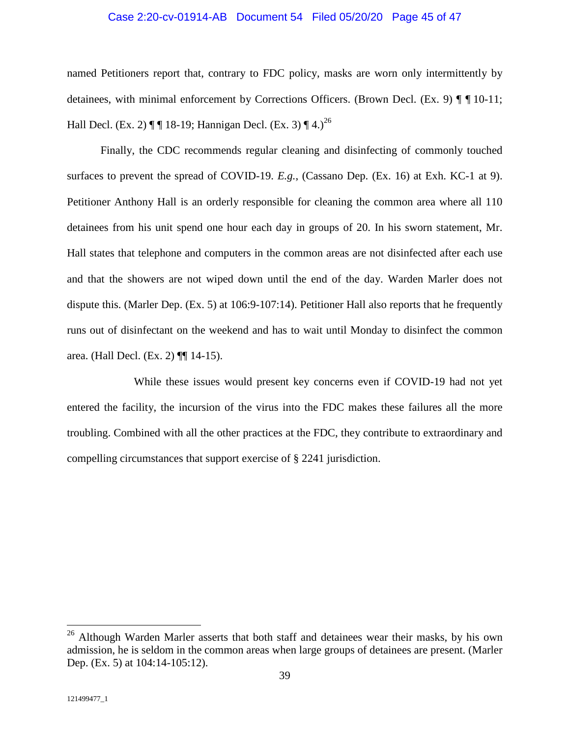#### Case 2:20-cv-01914-AB Document 54 Filed 05/20/20 Page 45 of 47

named Petitioners report that, contrary to FDC policy, masks are worn only intermittently by detainees, with minimal enforcement by Corrections Officers. (Brown Decl. (Ex. 9) ¶ ¶ 10-11; Hall Decl. (Ex. 2)  $\P\P 18-19$ ; Hannigan Decl. (Ex. 3)  $\P 4.2^{6}$ 

Finally, the CDC recommends regular cleaning and disinfecting of commonly touched surfaces to prevent the spread of COVID-19. *E.g.*, (Cassano Dep. (Ex. 16) at Exh. KC-1 at 9). Petitioner Anthony Hall is an orderly responsible for cleaning the common area where all 110 detainees from his unit spend one hour each day in groups of 20. In his sworn statement, Mr. Hall states that telephone and computers in the common areas are not disinfected after each use and that the showers are not wiped down until the end of the day. Warden Marler does not dispute this. (Marler Dep. (Ex. 5) at 106:9-107:14). Petitioner Hall also reports that he frequently runs out of disinfectant on the weekend and has to wait until Monday to disinfect the common area. (Hall Decl. (Ex. 2) ¶¶ 14-15).

While these issues would present key concerns even if COVID-19 had not yet entered the facility, the incursion of the virus into the FDC makes these failures all the more troubling. Combined with all the other practices at the FDC, they contribute to extraordinary and compelling circumstances that support exercise of § 2241 jurisdiction.

<sup>&</sup>lt;sup>26</sup> Although Warden Marler asserts that both staff and detainees wear their masks, by his own admission, he is seldom in the common areas when large groups of detainees are present. (Marler Dep. (Ex. 5) at 104:14-105:12).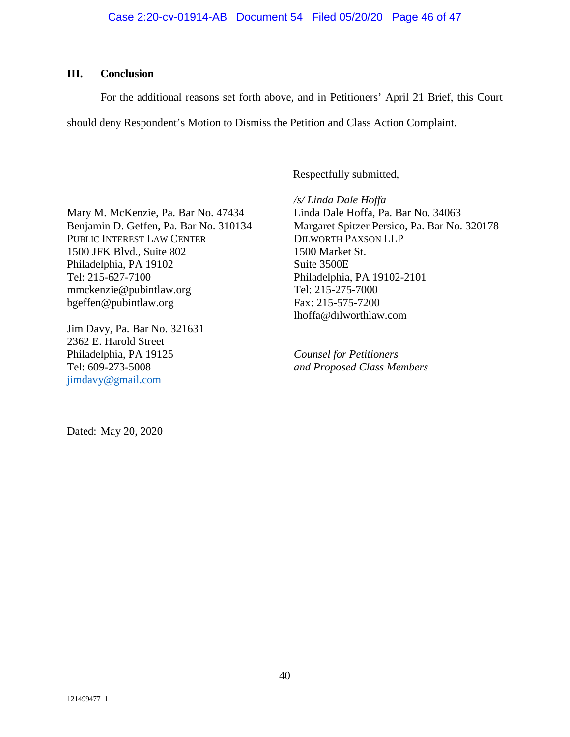## **III. Conclusion**

For the additional reasons set forth above, and in Petitioners' April 21 Brief, this Court

should deny Respondent's Motion to Dismiss the Petition and Class Action Complaint.

Respectfully submitted,

Mary M. McKenzie, Pa. Bar No. 47434 Benjamin D. Geffen, Pa. Bar No. 310134 PUBLIC INTEREST LAW CENTER 1500 JFK Blvd., Suite 802 Philadelphia, PA 19102 Tel: 215-627-7100 mmckenzie@pubintlaw.org bgeffen@pubintlaw.org

Jim Davy, Pa. Bar No. 321631 2362 E. Harold Street Philadelphia, PA 19125 Tel: 609-273-5008 jimdavy@gmail.com

*/s/ Linda Dale Hoffa*  Linda Dale Hoffa, Pa. Bar No. 34063 Margaret Spitzer Persico, Pa. Bar No. 320178 DILWORTH PAXSON LLP 1500 Market St. Suite 3500E Philadelphia, PA 19102-2101 Tel: 215-275-7000 Fax: 215-575-7200 lhoffa@dilworthlaw.com

*Counsel for Petitioners and Proposed Class Members*

Dated: May 20, 2020